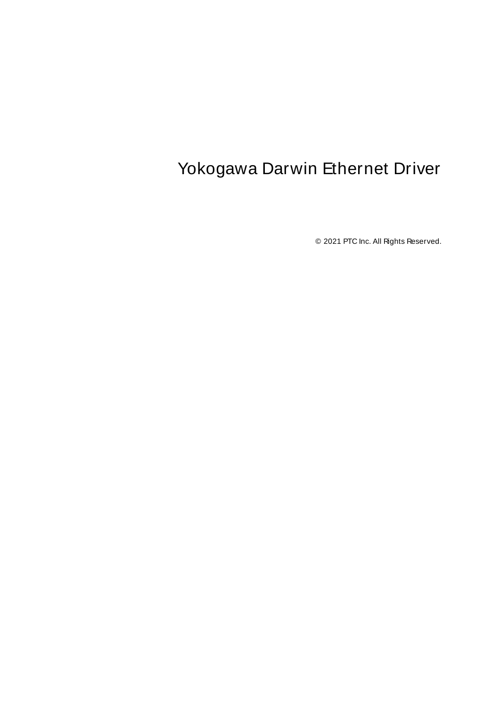# <span id="page-0-0"></span>Yokogawa Darwin Ethernet Driver

© 2021 PTC Inc. All Rights Reserved.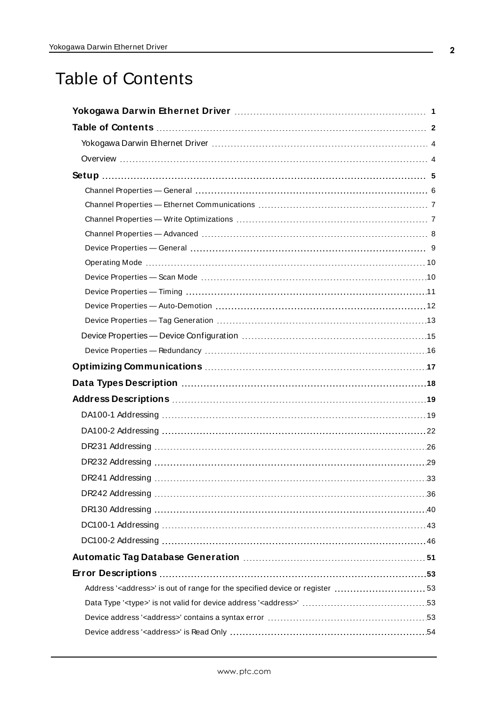# <span id="page-1-0"></span>Table of Contents

| Address' <address>' is out of range for the specified device or register  53</address> |  |
|----------------------------------------------------------------------------------------|--|
|                                                                                        |  |
|                                                                                        |  |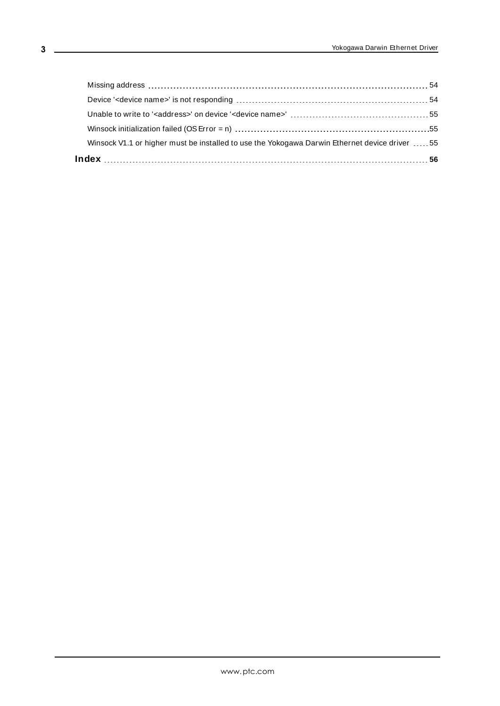| Winsock V1.1 or higher must be installed to use the Yokogawa Darwin Ethernet device driver 55 |  |
|-----------------------------------------------------------------------------------------------|--|
|                                                                                               |  |
|                                                                                               |  |
|                                                                                               |  |
|                                                                                               |  |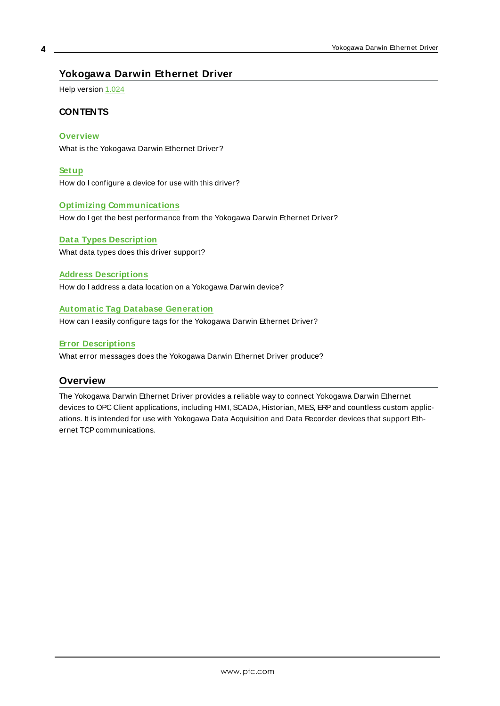#### <span id="page-3-0"></span>**Yokogawa Darwin Ethernet Driver**

Help version 1.024

#### **CONTENTS**

**[Overview](#page-3-1)**

What is the Yokogawa Darwin Ethernet Driver?

**[Setup](#page-4-0)** How do I configure a device for use with this driver?

#### **Optimizing [Communications](#page-16-0)**

How do I get the best performance from the Yokogawa Darwin Ethernet Driver?

**Data Types [Description](#page-17-0)** What data types does this driver support?

#### **Address [Descriptions](#page-18-0)**

How do I address a data location on a Yokogawa Darwin device?

#### **Automatic Tag Database [Generation](#page-50-0)**

How can I easily configure tags for the Yokogawa Darwin Ethernet Driver?

#### **Error [Descriptions](#page-52-0)**

<span id="page-3-1"></span>What error messages does the Yokogawa Darwin Ethernet Driver produce?

#### **Overview**

The Yokogawa Darwin Ethernet Driver provides a reliable way to connect Yokogawa Darwin Ethernet devices to OPC Client applications, including HMI, SCADA, Historian, MES, ERP and countless custom applications. It is intended for use with Yokogawa Data Acquisition and Data Recorder devices that support Ethernet TCP communications.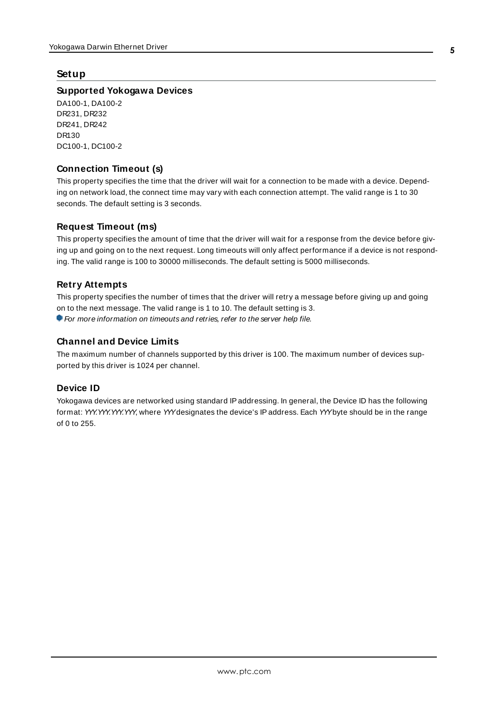#### <span id="page-4-0"></span>**Setup**

#### **Supported Yokogawa Devices**

DA100-1, DA100-2 DR231, DR232 DR241, DR242 DR130 DC100-1, DC100-2

#### <span id="page-4-2"></span>**Connection Timeout (s)**

This property specifies the time that the driver will wait for a connection to be made with a device. Depending on network load, the connect time may vary with each connection attempt. The valid range is 1 to 30 seconds. The default setting is 3 seconds.

#### **Request Timeout (ms)**

This property specifies the amount of time that the driver will wait for a response from the device before giving up and going on to the next request. Long timeouts will only affect performance if a device is not responding. The valid range is 100 to 30000 milliseconds. The default setting is 5000 milliseconds.

#### **Retry Attempts**

This property specifies the number of times that the driver will retry a message before giving up and going on to the next message. The valid range is 1 to 10. The default setting is 3.

For more information on timeouts and retries, refer to the server help file.

#### **Channel and Device Limits**

The maximum number of channels supported by this driver is 100. The maximum number of devices supported by this driver is 1024 per channel.

#### <span id="page-4-1"></span>**Device ID**

Yokogawa devices are networked using standard IPaddressing. In general, the Device ID has the following format: YYY.YYY.YYY.YYY, where YYYdesignates the device's IPaddress. Each YYYbyte should be in the range of 0 to 255.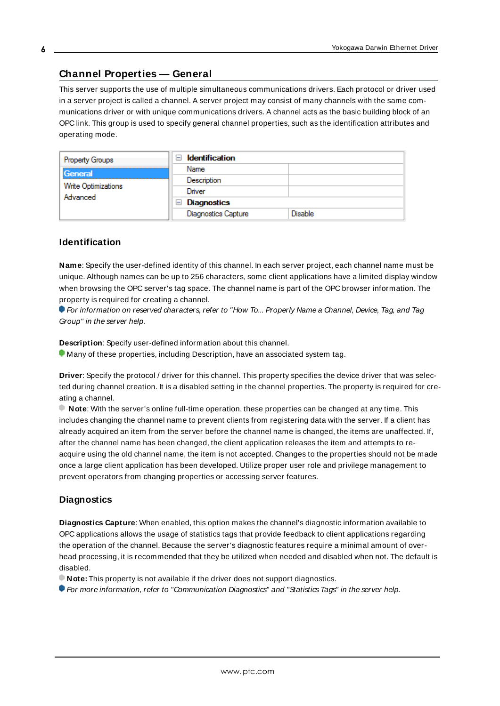#### <span id="page-5-0"></span>**Channel Properties — General**

This server supports the use of multiple simultaneous communications drivers. Each protocol or driver used in a server project is called a channel. A server project may consist of many channels with the same communications driver or with unique communications drivers. A channel acts as the basic building block of an OPC link. This group is used to specify general channel properties, such as the identification attributes and operating mode.

| Property Groups                 | <b>Identification</b><br>-1 |         |
|---------------------------------|-----------------------------|---------|
| General                         | Name                        |         |
|                                 | Description                 |         |
| Write Optimizations<br>Advanced | Driver                      |         |
|                                 | Diagnostics<br>$\equiv$     |         |
|                                 | <b>Diagnostics Capture</b>  | Disable |

#### **Identification**

**Name**: Specify the user-defined identity of this channel. In each server project, each channel name must be unique. Although names can be up to 256 characters, some client applications have a limited display window when browsing the OPC server's tag space. The channel name is part of the OPC browser information. The property is required for creating a channel.

For information on reserved characters, refer to "How To... Properly Name a Channel, Device, Tag, and Tag Group" in the server help.

**Description**: Specify user-defined information about this channel.

Many of these properties, including Description, have an associated system tag.

**Driver**: Specify the protocol / driver for this channel. This property specifies the device driver that was selected during channel creation. It is a disabled setting in the channel properties. The property is required for creating a channel.

**Note**: With the server's online full-time operation, these properties can be changed at any time. This includes changing the channel name to prevent clients from registering data with the server. If a client has already acquired an item from the server before the channel name is changed, the items are unaffected. If, after the channel name has been changed, the client application releases the item and attempts to reacquire using the old channel name, the item is not accepted. Changes to the properties should not be made once a large client application has been developed. Utilize proper user role and privilege management to prevent operators from changing properties or accessing server features.

#### **Diagnostics**

**Diagnostics Capture**: When enabled, this option makes the channel's diagnostic information available to OPC applications allows the usage of statistics tags that provide feedback to client applications regarding the operation of the channel. Because the server's diagnostic features require a minimal amount of overhead processing, it is recommended that they be utilized when needed and disabled when not. The default is disabled.

**Note:** This property is not available if the driver does not support diagnostics.

**• For more information, refer to "Communication Diagnostics" and "Statistics Tags" in the server help.**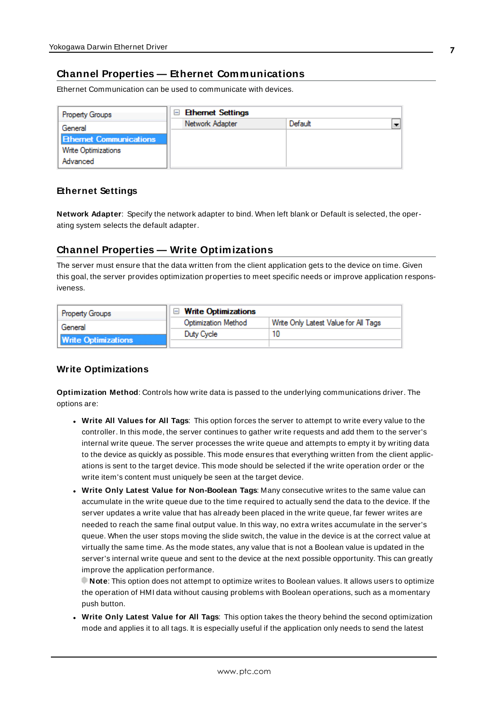### <span id="page-6-0"></span>**Channel Properties — Ethernet Communications**

Ethernet Communication can be used to communicate with devices.

| <b>Property Groups</b>         | <b>Ethernet Settings</b><br>$\equiv$ |         |  |
|--------------------------------|--------------------------------------|---------|--|
| General                        | Network Adapter                      | Default |  |
| <b>Ethernet Communications</b> |                                      |         |  |
| Write Optimizations            |                                      |         |  |
| Advanced                       |                                      |         |  |

#### **Ethernet Settings**

**Network Adapter**: Specify the network adapter to bind. When left blank or Default is selected, the operating system selects the default adapter.

#### <span id="page-6-1"></span>**Channel Properties — Write Optimizations**

The server must ensure that the data written from the client application gets to the device on time. Given this goal, the server provides optimization properties to meet specific needs or improve application responsiveness.

| <b>Property Groups</b>     | $\Box$ Write Optimizations |                                      |
|----------------------------|----------------------------|--------------------------------------|
| General                    | <b>Optimization Method</b> | Write Only Latest Value for All Tags |
|                            | Duty Cycle                 |                                      |
| <b>Write Optimizations</b> |                            |                                      |

#### **Write Optimizations**

**Optimization Method**: Controls how write data is passed to the underlying communications driver. The options are:

- <sup>l</sup> **Write All Values for All Tags**: This option forces the server to attempt to write every value to the controller. In this mode, the server continues to gather write requests and add them to the server's internal write queue. The server processes the write queue and attempts to empty it by writing data to the device as quickly as possible. This mode ensures that everything written from the client applications is sent to the target device. This mode should be selected if the write operation order or the write item's content must uniquely be seen at the target device.
- <sup>l</sup> **Write Only Latest Value for Non-Boolean Tags**: Many consecutive writes to the same value can accumulate in the write queue due to the time required to actually send the data to the device. If the server updates a write value that has already been placed in the write queue, far fewer writes are needed to reach the same final output value. In this way, no extra writes accumulate in the server's queue. When the user stops moving the slide switch, the value in the device is at the correct value at virtually the same time. As the mode states, any value that is not a Boolean value is updated in the server's internal write queue and sent to the device at the next possible opportunity. This can greatly improve the application performance.

**Note**: This option does not attempt to optimize writes to Boolean values. It allows users to optimize the operation of HMI data without causing problems with Boolean operations, such as a momentary push button.

**• Write Only Latest Value for All Tags**: This option takes the theory behind the second optimization mode and applies it to all tags. It is especially useful if the application only needs to send the latest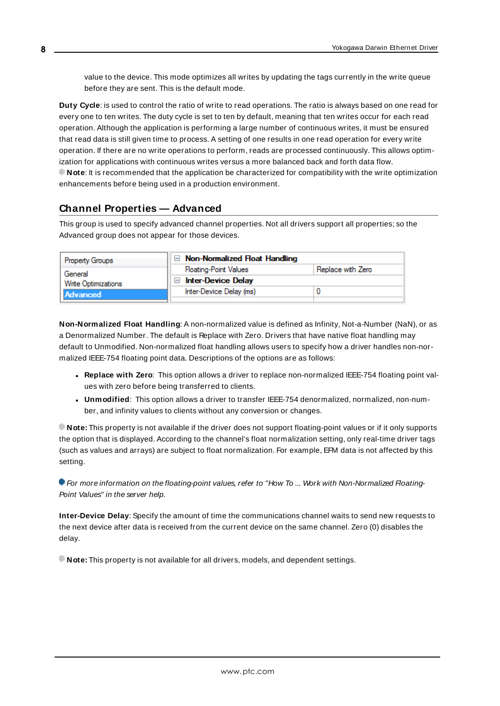value to the device. This mode optimizes all writes by updating the tags currently in the write queue before they are sent. This is the default mode.

**Duty Cycle**: is used to control the ratio of write to read operations. The ratio is always based on one read for every one to ten writes. The duty cycle is set to ten by default, meaning that ten writes occur for each read operation. Although the application is performing a large number of continuous writes, it must be ensured that read data is still given time to process. A setting of one results in one read operation for every write operation. If there are no write operations to perform, reads are processed continuously. This allows optimization for applications with continuous writes versus a more balanced back and forth data flow. **Note**: It is recommended that the application be characterized for compatibility with the write optimization enhancements before being used in a production environment.

# <span id="page-7-0"></span>**Channel Properties — Advanced**

This group is used to specify advanced channel properties. Not all drivers support all properties; so the Advanced group does not appear for those devices.

| <b>Property Groups</b> | $\Box$ Non-Normalized Float Handling |                   |
|------------------------|--------------------------------------|-------------------|
| General                | <b>Floating-Point Values</b>         | Replace with Zero |
| Write Optimizations    | <b>Inter-Device Delay</b><br>$\Box$  |                   |
| <b>Advanced</b>        | Inter-Device Delay (ms)              |                   |
|                        |                                      |                   |

**Non-Normalized Float Handling**: A non-normalized value is defined as Infinity, Not-a-Number (NaN), or as a Denormalized Number. The default is Replace with Zero. Drivers that have native float handling may default to Unmodified. Non-normalized float handling allows users to specify how a driver handles non-normalized IEEE-754 floating point data. Descriptions of the options are as follows:

- <sup>l</sup> **Replace with Zero**: This option allows a driver to replace non-normalized IEEE-754 floating point values with zero before being transferred to clients.
- <sup>l</sup> **Unmodified**: This option allows a driver to transfer IEEE-754 denormalized, normalized, non-number, and infinity values to clients without any conversion or changes.

**Note:** This property is not available if the driver does not support floating-point values or if it only supports the option that is displayed. According to the channel's float normalization setting, only real-time driver tags (such as values and arrays) are subject to float normalization. For example, EFM data is not affected by this setting.

For more information on the floating-point values, refer to "How To ... Work with Non-Normalized Floating-Point Values" in the server help.

**Inter-Device Delay**: Specify the amount of time the communications channel waits to send new requests to the next device after data is received from the current device on the same channel. Zero (0) disables the delay.

**Note:** This property is not available for all drivers, models, and dependent settings.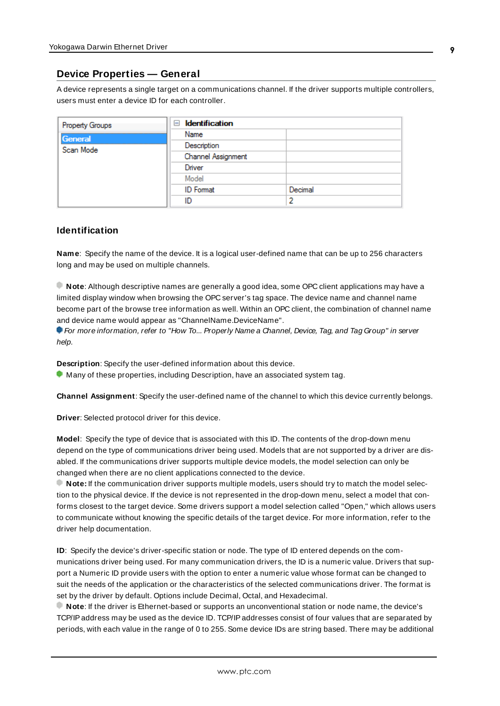#### <span id="page-8-0"></span>**Device Properties — General**

A device represents a single target on a communications channel. If the driver supports multiple controllers, users must enter a device ID for each controller.

| <b>Property Groups</b> | $\Box$ Identification |         |
|------------------------|-----------------------|---------|
| General                | Name                  |         |
| Scan Mode              | Description           |         |
|                        | Channel Assignment    |         |
|                        | Driver                |         |
|                        | Model                 |         |
|                        | <b>ID</b> Format      | Decimal |
|                        | ID                    | э       |

#### <span id="page-8-5"></span>**Identification**

**Name**: Specify the name of the device. It is a logical user-defined name that can be up to 256 characters long and may be used on multiple channels.

**Note**: Although descriptive names are generally a good idea, some OPC client applications may have a limited display window when browsing the OPC server's tag space. The device name and channel name become part of the browse tree information as well. Within an OPC client, the combination of channel name and device name would appear as "ChannelName.DeviceName".

For more information, refer to "How To... Properly Name a Channel, Device, Tag, and Tag Group" in server help.

**Description**: Specify the user-defined information about this device.

<span id="page-8-1"></span>**Many of these properties, including Description, have an associated system tag.** 

<span id="page-8-2"></span>**Channel Assignment**: Specify the user-defined name of the channel to which this device currently belongs.

<span id="page-8-4"></span>**Driver**: Selected protocol driver for this device.

**Model**: Specify the type of device that is associated with this ID. The contents of the drop-down menu depend on the type of communications driver being used. Models that are not supported by a driver are disabled. If the communications driver supports multiple device models, the model selection can only be changed when there are no client applications connected to the device.

**Note:** If the communication driver supports multiple models, users should try to match the model selection to the physical device. If the device is not represented in the drop-down menu, select a model that conforms closest to the target device. Some drivers support a model selection called "Open," which allows users to communicate without knowing the specific details of the target device. For more information, refer to the driver help documentation.

<span id="page-8-3"></span>**ID**: Specify the device's driver-specific station or node. The type of ID entered depends on the communications driver being used. For many communication drivers, the ID is a numeric value. Drivers that support a Numeric ID provide users with the option to enter a numeric value whose format can be changed to suit the needs of the application or the characteristics of the selected communications driver. The format is set by the driver by default. Options include Decimal, Octal, and Hexadecimal.

**Note**: If the driver is Ethernet-based or supports an unconventional station or node name, the device's TCP/IPaddress may be used as the device ID. TCP/IPaddresses consist of four values that are separated by periods, with each value in the range of 0 to 255. Some device IDs are string based. There may be additional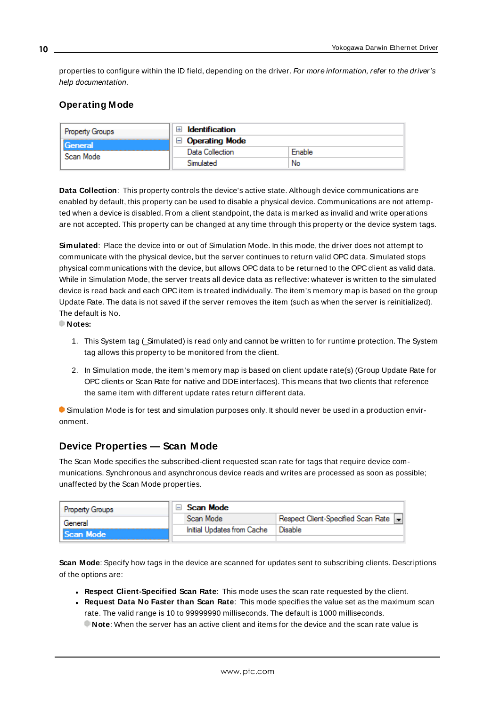properties to configure within the ID field, depending on the driver. For more information, refer to the driver's help documentation.

# <span id="page-9-0"></span>**Operating Mode**

| <b>Property Groups</b> | Identification        |        |
|------------------------|-----------------------|--------|
| General<br>Scan Mode   | $\Box$ Operating Mode |        |
|                        | Data Collection       | Enable |
|                        | Simulated             | No     |

<span id="page-9-2"></span>**Data Collection**: This property controls the device's active state. Although device communications are enabled by default, this property can be used to disable a physical device. Communications are not attempted when a device is disabled. From a client standpoint, the data is marked as invalid and write operations are not accepted. This property can be changed at any time through this property or the device system tags.

<span id="page-9-4"></span>**Simulated**: Place the device into or out of Simulation Mode. In this mode, the driver does not attempt to communicate with the physical device, but the server continues to return valid OPC data. Simulated stops physical communications with the device, but allows OPC data to be returned to the OPC client as valid data. While in Simulation Mode, the server treats all device data as reflective: whatever is written to the simulated device is read back and each OPC item is treated individually. The item's memory map is based on the group Update Rate. The data is not saved if the server removes the item (such as when the server is reinitialized). The default is No.

**Notes:**

- 1. This System tag (Simulated) is read only and cannot be written to for runtime protection. The System tag allows this property to be monitored from the client.
- 2. In Simulation mode, the item's memory map is based on client update rate(s) (Group Update Rate for OPC clients or Scan Rate for native and DDEinterfaces). This means that two clients that reference the same item with different update rates return different data.

 Simulation Mode is for test and simulation purposes only. It should never be used in a production environment.

# <span id="page-9-1"></span>**Device Properties — Scan Mode**

The Scan Mode specifies the subscribed-client requested scan rate for tags that require device communications. Synchronous and asynchronous device reads and writes are processed as soon as possible; unaffected by the Scan Mode properties.

| Property Groups | Scan Mode                  |                                    |
|-----------------|----------------------------|------------------------------------|
| General         | Scan Mode                  | Respect Client-Specified Scan Rate |
| Scan Mode       | Initial Updates from Cache | Disable                            |
|                 |                            |                                    |

<span id="page-9-3"></span>**Scan Mode**: Specify how tags in the device are scanned for updates sent to subscribing clients. Descriptions of the options are:

- <sup>l</sup> **Respect Client-Specified Scan Rate**: This mode uses the scan rate requested by the client.
- <sup>l</sup> **Request Data No Faster than Scan Rate**: This mode specifies the value set as the maximum scan rate. The valid range is 10 to 99999990 milliseconds. The default is 1000 milliseconds.

**Note**: When the server has an active client and items for the device and the scan rate value is

**10**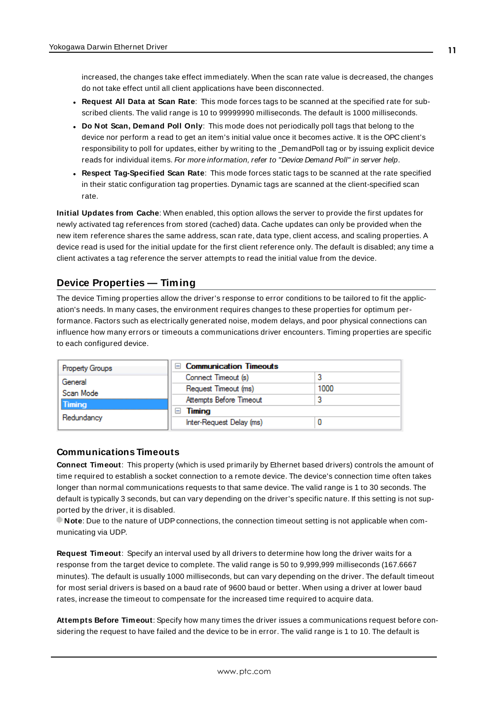increased, the changes take effect immediately. When the scan rate value is decreased, the changes do not take effect until all client applications have been disconnected.

- <sup>l</sup> **Request All Data at Scan Rate**: This mode forces tags to be scanned at the specified rate for subscribed clients. The valid range is 10 to 99999990 milliseconds. The default is 1000 milliseconds.
- <span id="page-10-3"></span><sup>l</sup> **Do Not Scan, Demand Poll Only**: This mode does not periodically poll tags that belong to the device nor perform a read to get an item's initial value once it becomes active. It is the OPC client's responsibility to poll for updates, either by writing to the \_DemandPoll tag or by issuing explicit device reads for individual items. For more information, refer to "Device Demand Poll" in server help.
- <span id="page-10-6"></span><sup>l</sup> **Respect Tag-Specified Scan Rate**: This mode forces static tags to be scanned at the rate specified in their static configuration tag properties. Dynamic tags are scanned at the client-specified scan rate.

<span id="page-10-4"></span>**Initial Updates from Cache**: When enabled, this option allows the server to provide the first updates for newly activated tag references from stored (cached) data. Cache updates can only be provided when the new item reference shares the same address, scan rate, data type, client access, and scaling properties. A device read is used for the initial update for the first client reference only. The default is disabled; any time a client activates a tag reference the server attempts to read the initial value from the device.

#### <span id="page-10-1"></span><span id="page-10-0"></span>**Device Properties — Timing**

The device Timing properties allow the driver's response to error conditions to be tailored to fit the application's needs. In many cases, the environment requires changes to these properties for optimum performance. Factors such as electrically generated noise, modem delays, and poor physical connections can influence how many errors or timeouts a communications driver encounters. Timing properties are specific to each configured device.

| <b>Property Groups</b> | $\Box$ Communication Timeouts |      |
|------------------------|-------------------------------|------|
| General                | Connect Timeout (s)           |      |
| Scan Mode              | Request Timeout (ms)          | 1000 |
| Timing                 | Attempts Before Timeout       |      |
|                        | Timing<br>-                   |      |
| Redundancy             | Inter-Request Delay (ms)      |      |

#### <span id="page-10-2"></span>**Communications Timeouts**

**Connect Timeout**: This property (which is used primarily by Ethernet based drivers) controls the amount of time required to establish a socket connection to a remote device. The device's connection time often takes longer than normal communications requests to that same device. The valid range is 1 to 30 seconds. The default is typically 3 seconds, but can vary depending on the driver's specific nature. If this setting is not supported by the driver, it is disabled.

**Note:** Due to the nature of UDP connections, the connection timeout setting is not applicable when communicating via UDP.

<span id="page-10-5"></span>**Request Timeout**: Specify an interval used by all drivers to determine how long the driver waits for a response from the target device to complete. The valid range is 50 to 9,999,999 milliseconds (167.6667 minutes). The default is usually 1000 milliseconds, but can vary depending on the driver. The default timeout for most serial drivers is based on a baud rate of 9600 baud or better. When using a driver at lower baud rates, increase the timeout to compensate for the increased time required to acquire data.

**Attempts Before Timeout**: Specify how many times the driver issues a communications request before considering the request to have failed and the device to be in error. The valid range is 1 to 10. The default is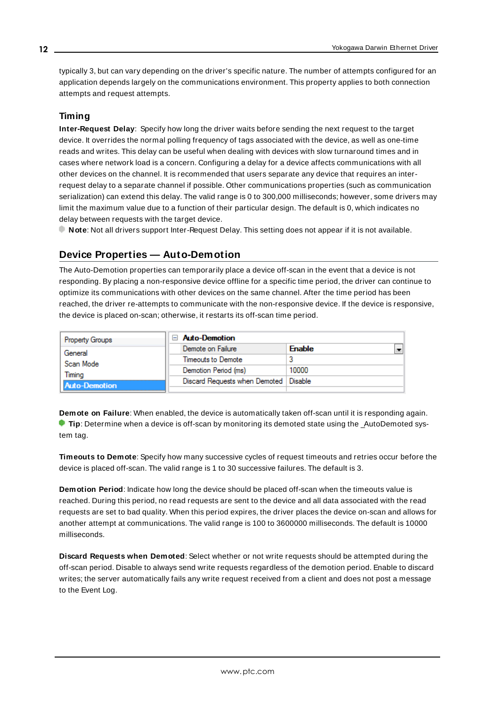<span id="page-11-1"></span>typically 3, but can vary depending on the driver's specific nature. The number of attempts configured for an application depends largely on the communications environment. This property applies to both connection attempts and request attempts.

#### <span id="page-11-5"></span>**Timing**

**Inter-Request Delay**: Specify how long the driver waits before sending the next request to the target device. It overrides the normal polling frequency of tags associated with the device, as well as one-time reads and writes. This delay can be useful when dealing with devices with slow turnaround times and in cases where network load is a concern. Configuring a delay for a device affects communications with all other devices on the channel. It is recommended that users separate any device that requires an interrequest delay to a separate channel if possible. Other communications properties (such as communication serialization) can extend this delay. The valid range is 0 to 300,000 milliseconds; however, some drivers may limit the maximum value due to a function of their particular design. The default is 0, which indicates no delay between requests with the target device.

<span id="page-11-0"></span>**Note**: Not all drivers support Inter-Request Delay. This setting does not appear if it is not available.

#### **Device Properties — Auto-Demotion**

The Auto-Demotion properties can temporarily place a device off-scan in the event that a device is not responding. By placing a non-responsive device offline for a specific time period, the driver can continue to optimize its communications with other devices on the same channel. After the time period has been reached, the driver re-attempts to communicate with the non-responsive device. If the device is responsive, the device is placed on-scan; otherwise, it restarts its off-scan time period.

| <b>Property Groups</b> | $\Box$ Auto-Demotion                    |               |  |
|------------------------|-----------------------------------------|---------------|--|
| General                | Demote on Failure                       | <b>Enable</b> |  |
| Scan Mode              | Timeouts to Demote                      |               |  |
| Timina                 | Demotion Period (ms)                    | 10000         |  |
| Auto-Demotion          | Discard Requests when Demoted   Disable |               |  |
|                        |                                         |               |  |

<span id="page-11-2"></span>**Demote on Failure**: When enabled, the device is automatically taken off-scan until it is responding again. **Tip:** Determine when a device is off-scan by monitoring its demoted state using the \_AutoDemoted system tag.

<span id="page-11-6"></span>**Timeouts to Demote**: Specify how many successive cycles of request timeouts and retries occur before the device is placed off-scan. The valid range is 1 to 30 successive failures. The default is 3.

<span id="page-11-3"></span>**Demotion Period**: Indicate how long the device should be placed off-scan when the timeouts value is reached. During this period, no read requests are sent to the device and all data associated with the read requests are set to bad quality. When this period expires, the driver places the device on-scan and allows for another attempt at communications. The valid range is 100 to 3600000 milliseconds. The default is 10000 milliseconds.

<span id="page-11-4"></span>**Discard Requests when Demoted**: Select whether or not write requests should be attempted during the off-scan period. Disable to always send write requests regardless of the demotion period. Enable to discard writes; the server automatically fails any write request received from a client and does not post a message to the Event Log.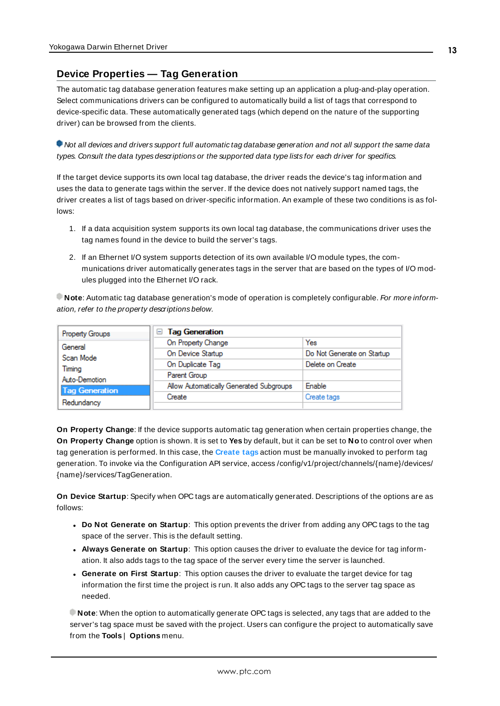#### <span id="page-12-0"></span>**Device Properties — Tag Generation**

The automatic tag database generation features make setting up an application a plug-and-play operation. Select communications drivers can be configured to automatically build a list of tags that correspond to device-specific data. These automatically generated tags (which depend on the nature of the supporting driver) can be browsed from the clients.

Not all devices and drivers support full automatic tag database generation and not all support the same data types. Consult the data types descriptions or the supported data type lists for each driver for specifics.

If the target device supports its own local tag database, the driver reads the device's tag information and uses the data to generate tags within the server. If the device does not natively support named tags, the driver creates a list of tags based on driver-specific information. An example of these two conditions is as follows:

- 1. If a data acquisition system supports its own local tag database, the communications driver uses the tag names found in the device to build the server's tags.
- 2. If an Ethernet I/O system supports detection of its own available I/O module types, the communications driver automatically generates tags in the server that are based on the types of I/O modules plugged into the Ethernet I/O rack.

**Note**: Automatic tag database generation's mode of operation is completely configurable. For more information, refer to the property descriptions below.

| Property Groups       | <b>Tag Generation</b><br>$=$            |                            |
|-----------------------|-----------------------------------------|----------------------------|
| General               | On Property Change                      | Yes                        |
| Scan Mode             | On Device Startup                       | Do Not Generate on Startup |
| Timina                | On Duplicate Tag                        | Delete on Create           |
| Auto-Demotion         | Parent Group                            |                            |
| <b>Tag Generation</b> | Allow Automatically Generated Subgroups | Enable                     |
|                       | Create                                  | Create tags                |
| Redundancy            |                                         |                            |

<span id="page-12-3"></span>**On Property Change**: If the device supports automatic tag generation when certain properties change, the **On Property Change** option is shown. It is set to **Yes** by default, but it can be set to **No** to control over when tag generation is performed. In this case, the **Create tags** action must be manually invoked to perform tag generation. To invoke via the Configuration API service, access /config/v1/project/channels/{name}/devices/ {name}/services/TagGeneration.

<span id="page-12-2"></span>**On Device Startup**: Specify when OPC tags are automatically generated. Descriptions of the options are as follows:

- <span id="page-12-1"></span><sup>l</sup> **Do Not Generate on Startup**: This option prevents the driver from adding any OPC tags to the tag space of the server. This is the default setting.
- <sup>l</sup> **Always Generate on Startup**: This option causes the driver to evaluate the device for tag information. It also adds tags to the tag space of the server every time the server is launched.
- <sup>l</sup> **Generate on First Startup**: This option causes the driver to evaluate the target device for tag information the first time the project is run. It also adds any OPC tags to the server tag space as needed.

**Note**: When the option to automatically generate OPC tags is selected, any tags that are added to the server's tag space must be saved with the project. Users can configure the project to automatically save from the **Tools** | **Options** menu.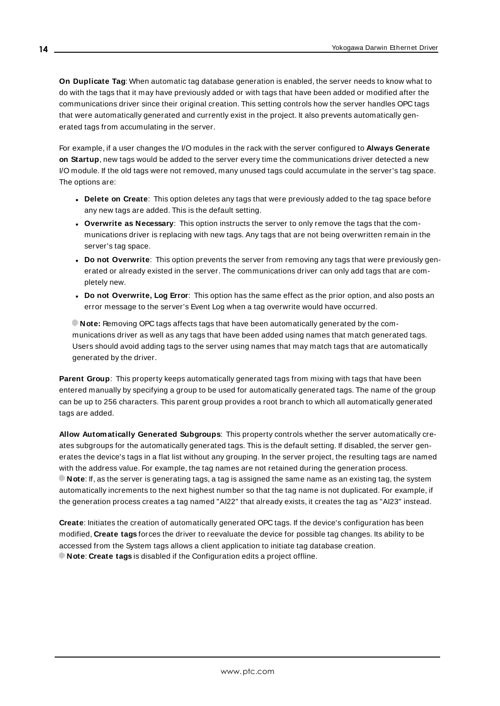<span id="page-13-3"></span>**On Duplicate Tag**: When automatic tag database generation is enabled, the server needs to know what to do with the tags that it may have previously added or with tags that have been added or modified after the communications driver since their original creation. This setting controls how the server handles OPC tags that were automatically generated and currently exist in the project. It also prevents automatically generated tags from accumulating in the server.

For example, if a user changes the I/O modules in the rack with the server configured to **Always Generate on Startup**, new tags would be added to the server every time the communications driver detected a new I/O module. If the old tags were not removed, many unused tags could accumulate in the server's tag space. The options are:

- <span id="page-13-2"></span>**.** Delete on Create: This option deletes any tags that were previously added to the tag space before any new tags are added. This is the default setting.
- <span id="page-13-4"></span><sup>l</sup> **Overwrite as Necessary**: This option instructs the server to only remove the tags that the communications driver is replacing with new tags. Any tags that are not being overwritten remain in the server's tag space.
- <sup>l</sup> **Do not Overwrite**: This option prevents the server from removing any tags that were previously generated or already existed in the server. The communications driver can only add tags that are completely new.
- <sup>l</sup> **Do not Overwrite, Log Error**: This option has the same effect as the prior option, and also posts an error message to the server's Event Log when a tag overwrite would have occurred.

**Note:** Removing OPC tags affects tags that have been automatically generated by the communications driver as well as any tags that have been added using names that match generated tags. Users should avoid adding tags to the server using names that may match tags that are automatically generated by the driver.

<span id="page-13-5"></span>**Parent Group:** This property keeps automatically generated tags from mixing with tags that have been entered manually by specifying a group to be used for automatically generated tags. The name of the group can be up to 256 characters. This parent group provides a root branch to which all automatically generated tags are added.

<span id="page-13-0"></span>**Allow Automatically Generated Subgroups**: This property controls whether the server automatically creates subgroups for the automatically generated tags. This is the default setting. If disabled, the server generates the device's tags in a flat list without any grouping. In the server project, the resulting tags are named with the address value. For example, the tag names are not retained during the generation process. **Note**: If, as the server is generating tags, a tag is assigned the same name as an existing tag, the system automatically increments to the next highest number so that the tag name is not duplicated. For example, if the generation process creates a tag named "AI22" that already exists, it creates the tag as "AI23" instead.

<span id="page-13-1"></span>**Create**: Initiates the creation of automatically generated OPC tags. If the device's configuration has been modified, **Create tags** forces the driver to reevaluate the device for possible tag changes. Its ability to be accessed from the System tags allows a client application to initiate tag database creation. **Note**: **Create tags** is disabled if the Configuration edits a project offline.

**14**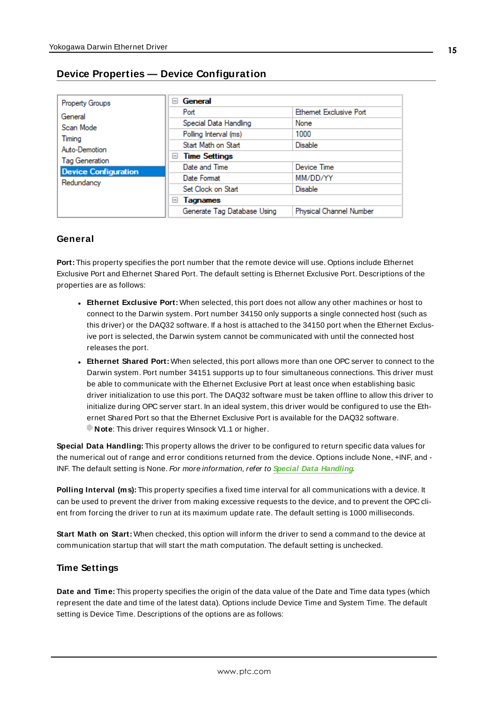| <b>Property Groups</b>      | General<br>н                |                               |  |  |
|-----------------------------|-----------------------------|-------------------------------|--|--|
| General                     | Port                        | <b>Ethemet Exclusive Port</b> |  |  |
| Scan Mode                   | Special Data Handling       | None                          |  |  |
| Timing                      | Polling Interval (ms)       | 1000                          |  |  |
| Auto-Demotion               | Start Math on Start         | <b>Disable</b>                |  |  |
| <b>Tag Generation</b>       | <b>Time Settings</b><br>н   |                               |  |  |
| <b>Device Configuration</b> | Date and Time               | Device Time                   |  |  |
| Redundancy                  | Date Format                 | MM/DD/YY                      |  |  |
|                             | Set Clock on Start          | Disable                       |  |  |
|                             | Tagnames<br>н               |                               |  |  |
|                             | Generate Tag Database Using | Physical Channel Number       |  |  |

# <span id="page-14-0"></span>**Device Properties — Device Configuration**

#### **General**

**Port:** This property specifies the port number that the remote device will use. Options include Ethernet Exclusive Port and Ethernet Shared Port. The default setting is Ethernet Exclusive Port. Descriptions of the properties are as follows:

- **Ethernet Exclusive Port:** When selected, this port does not allow any other machines or host to connect to the Darwin system. Port number 34150 only supports a single connected host (such as this driver) or the DAQ32 software. If a host is attached to the 34150 port when the Ethernet Exclusive port is selected, the Darwin system cannot be communicated with until the connected host releases the port.
- **Ethernet Shared Port:** When selected, this port allows more than one OPC server to connect to the Darwin system. Port number 34151 supports up to four simultaneous connections. This driver must be able to communicate with the Ethernet Exclusive Port at least once when establishing basic driver initialization to use this port. The DAQ32 software must be taken offline to allow this driver to initialize during OPC server start. In an ideal system, this driver would be configured to use the Ethernet Shared Port so that the Ethernet Exclusive Port is available for the DAQ32 software. **Note:** This driver requires Winsock V1.1 or higher.

<span id="page-14-1"></span>**Special Data Handling:** This property allows the driver to be configured to return specific data values for the numerical out of range and error conditions returned from the device. Options include None, +INF, and - INF. The default setting is None. For more information, refer to **Special Data [Handling](#page-14-1)**.

**Polling Interval (ms):** This property specifies a fixed time interval for all communications with a device. It can be used to prevent the driver from making excessive requests to the device, and to prevent the OPC client from forcing the driver to run at its maximum update rate. The default setting is 1000 milliseconds.

**Start Math on Start:** When checked, this option will inform the driver to send a command to the device at communication startup that will start the math computation. The default setting is unchecked.

#### **Time Settings**

**Date and Time:** This property specifies the origin of the data value of the Date and Time data types (which represent the date and time of the latest data). Options include Device Time and System Time. The default setting is Device Time. Descriptions of the options are as follows: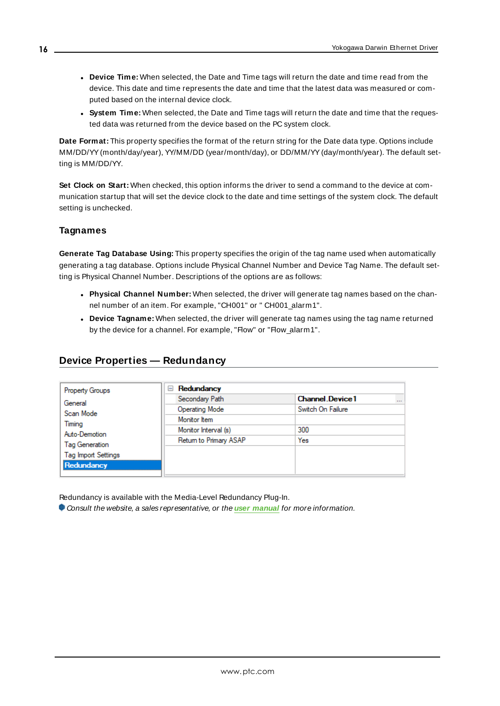- <sup>l</sup> **Device Time:** When selected, the Date and Time tags will return the date and time read from the device. This date and time represents the date and time that the latest data was measured or computed based on the internal device clock.
- **.** System Time: When selected, the Date and Time tags will return the date and time that the requested data was returned from the device based on the PC system clock.

**Date Format:** This property specifies the format of the return string for the Date data type. Options include MM/DD/YY(month/day/year), YY/MM/DD (year/month/day), or DD/MM/YY(day/month/year). The default setting is MM/DD/YY.

**Set Clock on Start:** When checked, this option informs the driver to send a command to the device at communication startup that will set the device clock to the date and time settings of the system clock. The default setting is unchecked.

#### **Tagnames**

**Generate Tag Database Using:** This property specifies the origin of the tag name used when automatically generating a tag database. Options include Physical Channel Number and Device Tag Name. The default setting is Physical Channel Number. Descriptions of the options are as follows:

- <sup>l</sup> **Physical Channel Number:** When selected, the driver will generate tag names based on the channel number of an item. For example, "CH001" or " CH001\_alarm1".
- **.** Device Tagname: When selected, the driver will generate tag names using the tag name returned by the device for a channel. For example, "Flow" or "Flow\_alarm1".

### <span id="page-15-0"></span>**Device Properties — Redundancy**

| Redundancy<br>$=$      |                                         |
|------------------------|-----------------------------------------|
| Secondary Path         | <b>Channel Device1</b><br>$\sim$ $\sim$ |
| <b>Operating Mode</b>  | Switch On Failure                       |
| Monitor Item           |                                         |
| Monitor Interval (s)   | 300                                     |
| Return to Primary ASAP | Yes                                     |
|                        |                                         |
|                        |                                         |
|                        |                                         |
|                        |                                         |

Redundancy is available with the Media-Level Redundancy Plug-In.

Consult the website, a sales representative, or the **user [manual](https://www.kepware.com/getattachment/35461efd-b53a-4219-a109-a89fad20b230/media-level-redundancy-manual.pdf)** for more information.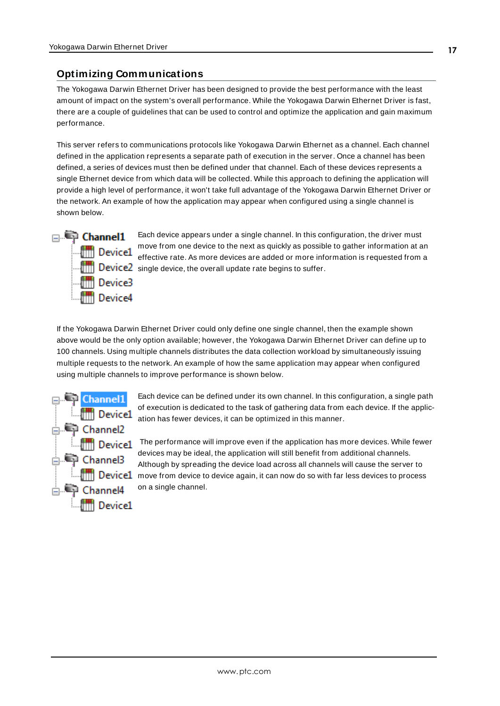# <span id="page-16-0"></span>**Optimizing Communications**

The Yokogawa Darwin Ethernet Driver has been designed to provide the best performance with the least amount of impact on the system's overall performance. While the Yokogawa Darwin Ethernet Driver is fast, there are a couple of guidelines that can be used to control and optimize the application and gain maximum performance.

This server refers to communications protocols like Yokogawa Darwin Ethernet as a channel. Each channel defined in the application represents a separate path of execution in the server. Once a channel has been defined, a series of devices must then be defined under that channel. Each of these devices represents a single Ethernet device from which data will be collected. While this approach to defining the application will provide a high level of performance, it won't take full advantage of the Yokogawa Darwin Ethernet Driver or the network. An example of how the application may appear when configured using a single channel is shown below.



Each device appears under a single channel. In this configuration, the driver must move from one device to the next as quickly as possible to gather information at an effective rate. As more devices are added or more information is requested from a  $\frac{1}{\|u\|}$  Device2 single device, the overall update rate begins to suffer.

If the Yokogawa Darwin Ethernet Driver could only define one single channel, then the example shown above would be the only option available; however, the Yokogawa Darwin Ethernet Driver can define up to 100 channels. Using multiple channels distributes the data collection workload by simultaneously issuing multiple requests to the network. An example of how the same application may appear when configured using multiple channels to improve performance is shown below.



Each device can be defined under its own channel. In this configuration, a single path of execution is dedicated to the task of gathering data from each device. If the application has fewer devices, it can be optimized in this manner.

The performance will improve even if the application has more devices. While fewer devices may be ideal, the application will still benefit from additional channels. Although by spreading the device load across all channels will cause the server to **EMPHIP Device1** move from device to device again, it can now do so with far less devices to process on a single channel.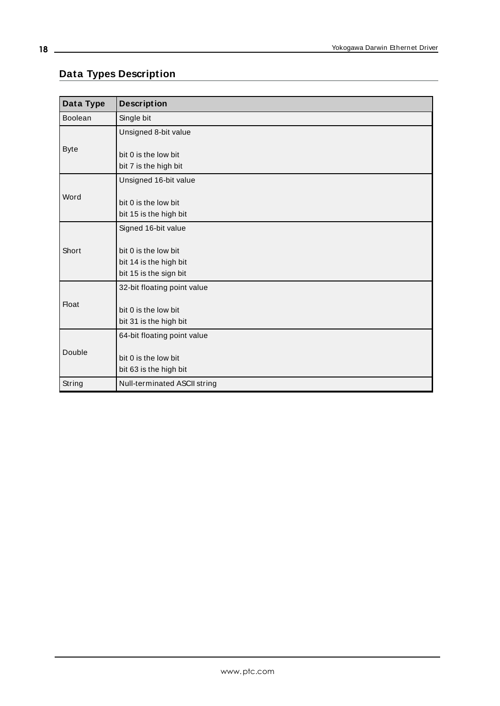# <span id="page-17-0"></span>**Data Types Description**

<span id="page-17-4"></span><span id="page-17-3"></span><span id="page-17-2"></span><span id="page-17-1"></span>

| Data Type      | <b>Description</b>                                                       |
|----------------|--------------------------------------------------------------------------|
| <b>Boolean</b> | Single bit                                                               |
|                | Unsigned 8-bit value                                                     |
| <b>Byte</b>    | bit 0 is the low bit                                                     |
|                | bit 7 is the high bit                                                    |
|                | Unsigned 16-bit value                                                    |
| Word           | bit 0 is the low bit<br>bit 15 is the high bit                           |
|                | Signed 16-bit value                                                      |
| Short          | bit 0 is the low bit<br>bit 14 is the high bit<br>bit 15 is the sign bit |
|                | 32-bit floating point value                                              |
| <b>Float</b>   | bit 0 is the low bit<br>bit 31 is the high bit                           |
|                | 64-bit floating point value                                              |
| Double         | bit 0 is the low bit<br>bit 63 is the high bit                           |
| String         | Null-terminated ASCII string                                             |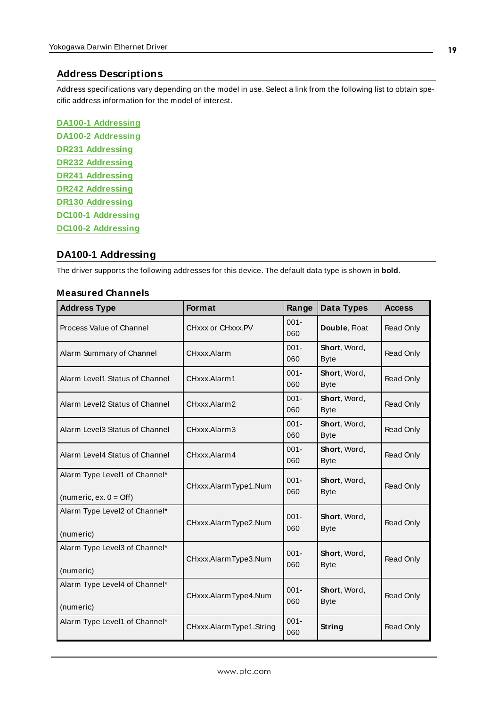#### <span id="page-18-0"></span>**Address Descriptions**

Address specifications vary depending on the model in use. Select a link from the following list to obtain specific address information for the model of interest.

**DA100-1 [Addressing](#page-18-1) DA100-2 [Addressing](#page-21-0) DR231 [Addressing](#page-25-0) DR232 [Addressing](#page-28-0) DR241 [Addressing](#page-32-0) DR242 [Addressing](#page-35-0) DR130 [Addressing](#page-39-0) DC100-1 [Addressing](#page-42-0) DC100-2 [Addressing](#page-45-0)**

#### <span id="page-18-1"></span>**DA100-1 Addressing**

The driver supports the following addresses for this device. The default data type is shown in **bold**.

#### **Measured Channels**

| <b>Address Type</b>                                               | Format                  | Range          | Data Types                  | <b>Access</b> |
|-------------------------------------------------------------------|-------------------------|----------------|-----------------------------|---------------|
| Process Value of Channel                                          | CHxxx or CHxxx.PV       | $001 -$<br>060 | Double, Float               | Read Only     |
| Alarm Summary of Channel                                          | CHxxx.Alarm             | $001 -$<br>060 | Short, Word,<br><b>Byte</b> | Read Only     |
| Alarm Level1 Status of Channel                                    | CHxxx.Alarm1            | $001 -$<br>060 | Short, Word,<br><b>Byte</b> | Read Only     |
| Alarm Level2 Status of Channel                                    | CHxxx.Alarm2            | $001 -$<br>060 | Short, Word,<br><b>Byte</b> | Read Only     |
| Alarm Level3 Status of Channel                                    | CHxxx.Alarm3            | $001 -$<br>060 | Short, Word,<br><b>Byte</b> | Read Only     |
| Alarm Level4 Status of Channel                                    | CHxxx Alarm4            | $001 -$<br>060 | Short, Word,<br><b>Byte</b> | Read Only     |
| Alarm Type Level1 of Channel*<br>(numeric, ex. $0 = \text{Off}$ ) | CHxxx.AlarmType1.Num    | $001 -$<br>060 | Short, Word,<br><b>Byte</b> | Read Only     |
| Alarm Type Level2 of Channel*<br>(numeric)                        | CHxxx.AlarmType2.Num    | $001 -$<br>060 | Short, Word,<br><b>Byte</b> | Read Only     |
| Alarm Type Level3 of Channel*<br>(numeric)                        | CHxxx.AlarmType3.Num    | $001 -$<br>060 | Short, Word,<br><b>Byte</b> | Read Only     |
| Alarm Type Level4 of Channel*<br>(numeric)                        | CHxxx.AlarmType4.Num    | $001 -$<br>060 | Short, Word,<br><b>Byte</b> | Read Only     |
| Alarm Type Level1 of Channel*                                     | CHxxx.AlarmType1.String | $001 -$<br>060 | String                      | Read Only     |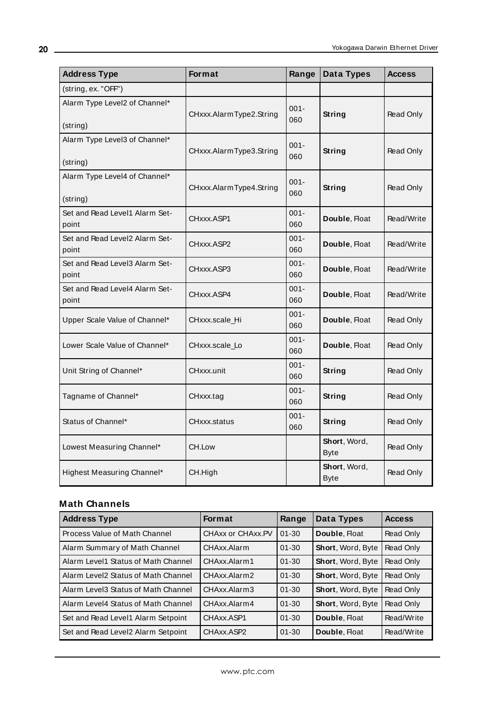| <b>Address Type</b>                       | <b>Format</b>           | Range          | Data Types                  | <b>Access</b> |
|-------------------------------------------|-------------------------|----------------|-----------------------------|---------------|
| (string, ex. "OFF")                       |                         |                |                             |               |
| Alarm Type Level2 of Channel*<br>(string) | CHxxx.AlarmType2.String | $001 -$<br>060 | String                      | Read Only     |
| Alarm Type Level3 of Channel*<br>(string) | CHxxx.AlarmType3.String | $001 -$<br>060 | String                      | Read Only     |
| Alarm Type Level4 of Channel*<br>(string) | CHxxx.AlarmType4.String | $001 -$<br>060 | String                      | Read Only     |
| Set and Read Level1 Alarm Set-<br>point   | CHxxx.ASP1              | $001 -$<br>060 | Double, Float               | Read/Write    |
| Set and Read Level2 Alarm Set-<br>point   | CHxxx.ASP2              | $001 -$<br>060 | Double, Float               | Read/Write    |
| Set and Read Level3 Alarm Set-<br>point   | CHxxx.ASP3              | $001 -$<br>060 | Double, Float               | Read/Write    |
| Set and Read Level4 Alarm Set-<br>point   | CHxxx.ASP4              | $001 -$<br>060 | Double, Float               | Read/Write    |
| Upper Scale Value of Channel*             | CHxxx.scale_Hi          | $001 -$<br>060 | Double, Float               | Read Only     |
| Lower Scale Value of Channel*             | CHxxx.scale_Lo          | $001 -$<br>060 | Double, Float               | Read Only     |
| Unit String of Channel*                   | CHxxx.unit              | $001 -$<br>060 | String                      | Read Only     |
| Tagname of Channel*                       | CHxxx.tag               | $001 -$<br>060 | String                      | Read Only     |
| Status of Channel*                        | CHxxx.status            | $001 -$<br>060 | String                      | Read Only     |
| Lowest Measuring Channel*                 | CH.Low                  |                | Short, Word,<br><b>Byte</b> | Read Only     |
| Highest Measuring Channel*                | CH.High                 |                | Short, Word,<br><b>Byte</b> | Read Only     |

# **Math Channels**

| <b>Address Type</b>                 | <b>Format</b>     | Range     | Data Types               | <b>Access</b> |
|-------------------------------------|-------------------|-----------|--------------------------|---------------|
| Process Value of Math Channel       | CHAXX or CHAXX.PV | $01 - 30$ | Double, Float            | Read Only     |
| Alarm Summary of Math Channel       | CHAxx Alarm       | $01 - 30$ | Short, Word, Byte        | Read Only     |
| Alarm Level1 Status of Math Channel | CHAxx Alarm 1     | $01 - 30$ | <b>Short, Word, Byte</b> | Read Only     |
| Alarm Level2 Status of Math Channel | CHAxx Alarm2      | $01 - 30$ | <b>Short, Word, Byte</b> | Read Only     |
| Alarm Level3 Status of Math Channel | CHAxx Alarm3      | $01 - 30$ | <b>Short, Word, Byte</b> | Read Only     |
| Alarm Level4 Status of Math Channel | CHAxx Alarm4      | $01 - 30$ | <b>Short, Word, Byte</b> | Read Only     |
| Set and Read Level1 Alarm Setpoint  | CHAxx ASP1        | $01 - 30$ | Double, Float            | Read/Write    |
| Set and Read Level2 Alarm Setpoint  | CHAxx ASP2        | $01 - 30$ | Double, Float            | Read/Write    |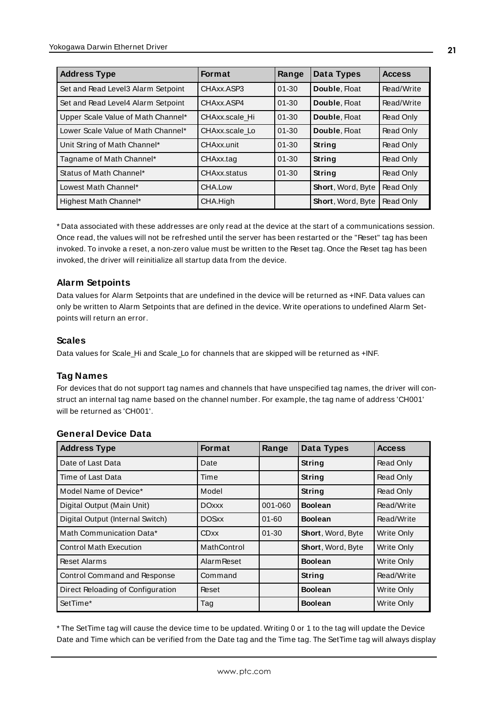| <b>Address Type</b>                | <b>Format</b>  | Range     | Data Types        | <b>Access</b> |
|------------------------------------|----------------|-----------|-------------------|---------------|
| Set and Read Level3 Alarm Setpoint | CHAxx.ASP3     | $01 - 30$ | Double, Float     | Read/Write    |
| Set and Read Level4 Alarm Setpoint | CHAxx.ASP4     | $01 - 30$ | Double, Float     | Read/Write    |
| Upper Scale Value of Math Channel* | CHAxx.scale Hi | $01 - 30$ | Double, Float     | Read Only     |
| Lower Scale Value of Math Channel* | CHAxx.scale Lo | $01 - 30$ | Double, Float     | Read Only     |
| Unit String of Math Channel*       | CHAxx.unit     | $01 - 30$ | String            | Read Only     |
| Tagname of Math Channel*           | CHAxx.tag      | $01 - 30$ | String            | Read Only     |
| Status of Math Channel*            | CHAxx.status   | $01 - 30$ | <b>String</b>     | Read Only     |
| Lowest Math Channel*               | CHA.Low        |           | Short, Word, Byte | Read Only     |
| Highest Math Channel*              | CHA.High       |           | Short, Word, Byte | Read Only     |

\* Data associated with these addresses are only read at the device at the start of a communications session. Once read, the values will not be refreshed until the server has been restarted or the "Reset" tag has been invoked. To invoke a reset, a non-zero value must be written to the Reset tag. Once the Reset tag has been invoked, the driver will reinitialize all startup data from the device.

#### **Alarm Setpoints**

Data values for Alarm Setpoints that are undefined in the device will be returned as +INF. Data values can only be written to Alarm Setpoints that are defined in the device. Write operations to undefined Alarm Setpoints will return an error.

#### **Scales**

Data values for Scale\_Hi and Scale\_Lo for channels that are skipped will be returned as +INF.

#### **Tag Names**

For devices that do not support tag names and channels that have unspecified tag names, the driver will construct an internal tag name based on the channel number. For example, the tag name of address 'CH001' will be returned as 'CH001'.

| <b>Address Type</b>               | <b>Format</b>      | Range     | <b>Data Types</b> | <b>Access</b>     |
|-----------------------------------|--------------------|-----------|-------------------|-------------------|
| Date of Last Data                 | Date               |           | <b>String</b>     | Read Only         |
| Time of Last Data                 | Time               |           | <b>String</b>     | Read Only         |
| Model Name of Device*             | Model              |           | String            | Read Only         |
| Digital Output (Main Unit)        | <b>DOxxx</b>       | 001-060   | <b>Boolean</b>    | Read/Write        |
| Digital Output (Internal Switch)  | <b>DOSxx</b>       | $01 - 60$ | <b>Boolean</b>    | Read/Write        |
| Math Communication Data*          | <b>CDxx</b>        | $01 - 30$ | Short, Word, Byte | Write Only        |
| <b>Control Math Execution</b>     | MathControl        |           | Short, Word, Byte | Write Only        |
| Reset Alarms                      | <b>Alarm Reset</b> |           | <b>Boolean</b>    | Write Only        |
| Control Command and Response      | Command            |           | <b>String</b>     | Read/Write        |
| Direct Reloading of Configuration | Reset              |           | <b>Boolean</b>    | <b>Write Only</b> |
| SetTime*                          | Tag                |           | <b>Boolean</b>    | <b>Write Only</b> |

#### **General Device Data**

\* The SetTime tag will cause the device time to be updated. Writing 0 or 1 to the tag will update the Device Date and Time which can be verified from the Date tag and the Time tag. The SetTime tag will always display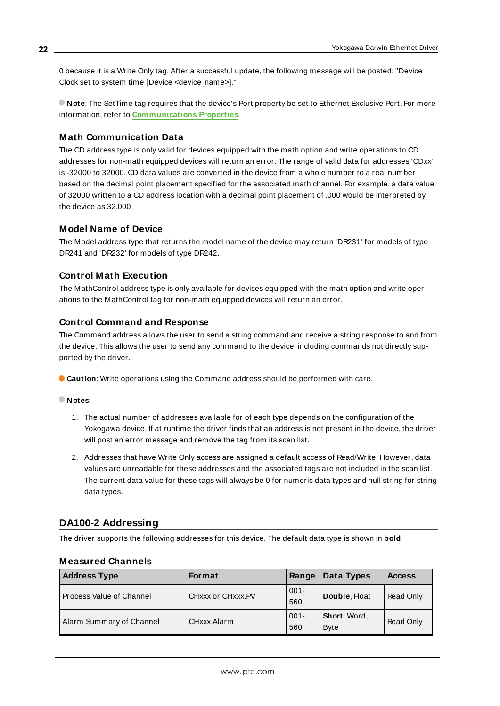0 because it is a Write Only tag. After a successful update, the following message will be posted: "Device Clock set to system time [Device <device\_name>]."

**Note**: The SetTime tag requires that the device's Port property be set to Ethernet Exclusive Port. For more information, refer to **[Communications](#page-14-0) Properties**.

#### **Math Communication Data**

The CD address type is only valid for devices equipped with the math option and write operations to CD addresses for non-math equipped devices will return an error. The range of valid data for addresses 'CDxx' is -32000 to 32000. CD data values are converted in the device from a whole number to a real number based on the decimal point placement specified for the associated math channel. For example, a data value of 32000 written to a CD address location with a decimal point placement of .000 would be interpreted by the device as 32.000

#### **Model Name of Device**

The Model address type that returns the model name of the device may return 'DR231' for models of type DR241 and 'DR232' for models of type DR242.

#### **Control Math Execution**

The MathControl address type is only available for devices equipped with the math option and write operations to the MathControl tag for non-math equipped devices will return an error.

#### **Control Command and Response**

The Command address allows the user to send a string command and receive a string response to and from the device. This allows the user to send any command to the device, including commands not directly supported by the driver.

**Caution**: Write operations using the Command address should be performed with care.

#### **Notes**:

- 1. The actual number of addresses available for of each type depends on the configuration of the Yokogawa device. If at runtime the driver finds that an address is not present in the device, the driver will post an error message and remove the tag from its scan list.
- 2. Addresses that have Write Only access are assigned a default access of Read/Write. However, data values are unreadable for these addresses and the associated tags are not included in the scan list. The current data value for these tags will always be 0 for numeric data types and null string for string data types.

#### <span id="page-21-0"></span>**DA100-2 Addressing**

The driver supports the following addresses for this device. The default data type is shown in **bold**.

| <b>Address Type</b>      | Format            | Range          | Data Types                  | <b>Access</b> |
|--------------------------|-------------------|----------------|-----------------------------|---------------|
| Process Value of Channel | CHXXX or CHXXX.PV | $001 -$<br>560 | Double, Float               | Read Only     |
| Alarm Summary of Channel | CHxxx.Alarm       | $001 -$<br>560 | Short, Word,<br><b>Byte</b> | Read Only     |

#### **Measured Channels**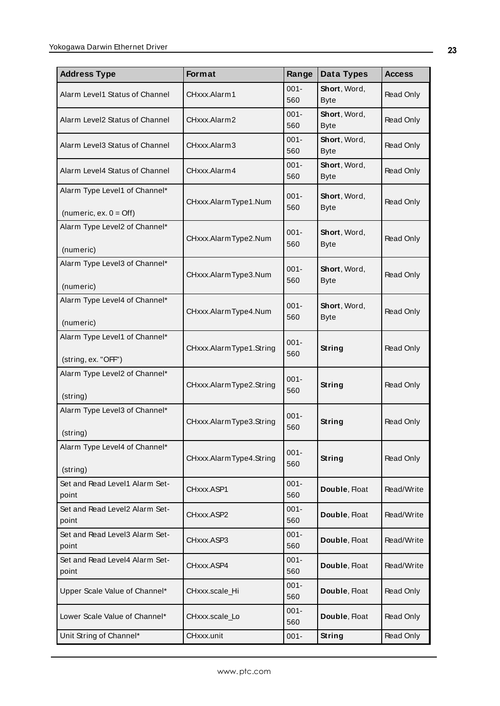| <b>Address Type</b>                                               | Format                  | Range          | Data Types                  | <b>Access</b> |
|-------------------------------------------------------------------|-------------------------|----------------|-----------------------------|---------------|
| Alarm Level1 Status of Channel                                    | CHxxx.Alarm1            | $001 -$<br>560 | Short, Word,<br><b>Byte</b> | Read Only     |
| Alarm Level2 Status of Channel                                    | CHxxx Alarm2            | $001 -$<br>560 | Short, Word,<br><b>Byte</b> | Read Only     |
| Alarm Level3 Status of Channel                                    | CHxxx.Alarm3            | $001 -$<br>560 | Short, Word,<br><b>Byte</b> | Read Only     |
| Alarm Level4 Status of Channel                                    | CHxxx.Alarm4            | $001 -$<br>560 | Short, Word,<br><b>Byte</b> | Read Only     |
| Alarm Type Level1 of Channel*<br>(numeric, ex. $0 = \text{Off}$ ) | CHxxx.AlarmType1.Num    | $001 -$<br>560 | Short, Word,<br><b>Byte</b> | Read Only     |
| Alarm Type Level2 of Channel*<br>(numeric)                        | CHxxx.AlarmType2.Num    | $001 -$<br>560 | Short, Word,<br><b>Byte</b> | Read Only     |
| Alarm Type Level3 of Channel*<br>(numeric)                        | CHxxx.AlarmType3.Num    | $001 -$<br>560 | Short, Word,<br><b>Byte</b> | Read Only     |
| Alarm Type Level4 of Channel*<br>(numeric)                        | CHxxx.AlarmType4.Num    | $001 -$<br>560 | Short, Word,<br><b>Byte</b> | Read Only     |
| Alarm Type Level1 of Channel*<br>(string, ex. "OFF")              | CHxxx.AlarmType1.String | $001 -$<br>560 | String                      | Read Only     |
| Alarm Type Level2 of Channel*<br>(string)                         | CHxxx.AlarmType2.String | $001 -$<br>560 | String                      | Read Only     |
| Alarm Type Level3 of Channel*<br>(string)                         | CHxxx.AlarmType3.String | $001 -$<br>560 | String                      | Read Only     |
| Alarm Type Level4 of Channel*<br>(string)                         | CHxxx.AlarmType4.String | $001 -$<br>560 | String                      | Read Only     |
| Set and Read Level1 Alarm Set-<br>point                           | CHxxx.ASP1              | $001 -$<br>560 | Double, Float               | Read/Write    |
| Set and Read Level2 Alarm Set-<br>point                           | CHxxx.ASP2              | $001 -$<br>560 | Double, Float               | Read/Write    |
| Set and Read Level3 Alarm Set-<br>point                           | CHxxx.ASP3              | $001 -$<br>560 | Double, Float               | Read/Write    |
| Set and Read Level4 Alarm Set-<br>point                           | CHxxx.ASP4              | $001 -$<br>560 | Double, Float               | Read/Write    |
| Upper Scale Value of Channel*                                     | CHxxx.scale_Hi          | $001 -$<br>560 | Double, Float               | Read Only     |
| Lower Scale Value of Channel*                                     | CHxxx.scale_Lo          | $001 -$<br>560 | Double, Float               | Read Only     |
| Unit String of Channel*                                           | CHxxx.unit              | $001 -$        | <b>String</b>               | Read Only     |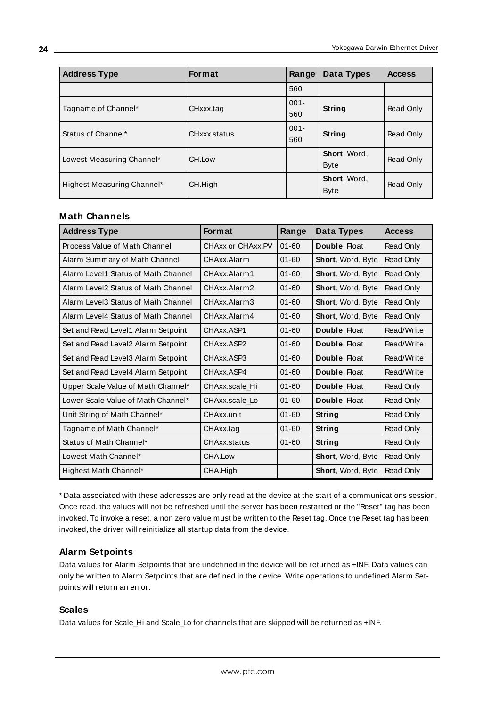| <b>Address Type</b>        | <b>Format</b> | Range          | Data Types                  | <b>Access</b> |
|----------------------------|---------------|----------------|-----------------------------|---------------|
|                            |               | 560            |                             |               |
| Tagname of Channel*        | CHxxx.tag     | $001 -$<br>560 | <b>String</b>               | Read Only     |
| Status of Channel*         | CHxxx.status  | $001 -$<br>560 | String                      | Read Only     |
| Lowest Measuring Channel*  | CH.Low        |                | Short, Word,<br><b>Byte</b> | Read Only     |
| Highest Measuring Channel* | CH.High       |                | Short, Word,<br><b>Byte</b> | Read Only     |

#### **Math Channels**

| <b>Address Type</b>                 | <b>Format</b>     | Range     | <b>Data Types</b> | <b>Access</b> |
|-------------------------------------|-------------------|-----------|-------------------|---------------|
| Process Value of Math Channel       | CHAxx or CHAxx.PV | $01 - 60$ | Double, Float     | Read Only     |
| Alarm Summary of Math Channel       | CHAxx.Alarm       | $01 - 60$ | Short, Word, Byte | Read Only     |
| Alarm Level1 Status of Math Channel | CHAxx.Alarm1      | $01 - 60$ | Short, Word, Byte | Read Only     |
| Alarm Level2 Status of Math Channel | CHAxx.Alarm2      | $01 - 60$ | Short, Word, Byte | Read Only     |
| Alarm Level3 Status of Math Channel | CHAxx.Alarm3      | $01 - 60$ | Short, Word, Byte | Read Only     |
| Alarm Level4 Status of Math Channel | CHAxx.Alarm4      | $01 - 60$ | Short, Word, Byte | Read Only     |
| Set and Read Level1 Alarm Setpoint  | CHAxx ASP1        | $01 - 60$ | Double, Float     | Read/Write    |
| Set and Read Level2 Alarm Setpoint  | CHAxx.ASP2        | $01 - 60$ | Double, Float     | Read/Write    |
| Set and Read Level3 Alarm Setpoint  | CHAxx ASP3        | $01 - 60$ | Double, Float     | Read/Write    |
| Set and Read Level4 Alarm Setpoint  | CHAxx.ASP4        | $01 - 60$ | Double, Float     | Read/Write    |
| Upper Scale Value of Math Channel*  | CHAxx.scale Hi    | $01 - 60$ | Double, Float     | Read Only     |
| Lower Scale Value of Math Channel*  | CHAxx.scale Lo    | $01 - 60$ | Double, Float     | Read Only     |
| Unit String of Math Channel*        | CHAxx.unit        | $01 - 60$ | String            | Read Only     |
| Tagname of Math Channel*            | CHAxx.tag         | $01 - 60$ | String            | Read Only     |
| Status of Math Channel*             | CHAxx.status      | $01 - 60$ | String            | Read Only     |
| Lowest Math Channel*                | CHA.Low           |           | Short, Word, Byte | Read Only     |
| Highest Math Channel*               | CHA.High          |           | Short, Word, Byte | Read Only     |

\* Data associated with these addresses are only read at the device at the start of a communications session. Once read, the values will not be refreshed until the server has been restarted or the "Reset" tag has been invoked. To invoke a reset, a non zero value must be written to the Reset tag. Once the Reset tag has been invoked, the driver will reinitialize all startup data from the device.

#### **Alarm Setpoints**

Data values for Alarm Setpoints that are undefined in the device will be returned as +INF. Data values can only be written to Alarm Setpoints that are defined in the device. Write operations to undefined Alarm Setpoints will return an error.

#### **Scales**

Data values for Scale\_Hi and Scale\_Lo for channels that are skipped will be returned as +INF.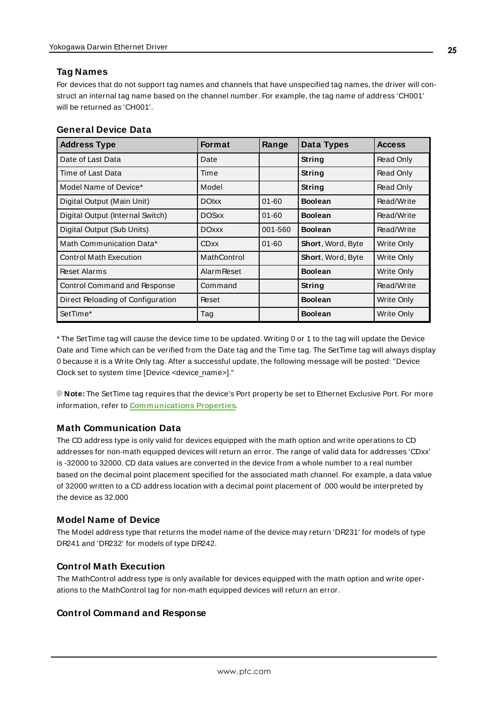#### **Tag Names**

For devices that do not support tag names and channels that have unspecified tag names, the driver will construct an internal tag name based on the channel number. For example, the tag name of address 'CH001' will be returned as 'CH001'.

| <b>General Device Data</b> |  |
|----------------------------|--|
|----------------------------|--|

| <b>Address Type</b>               | <b>Format</b>      | Range     | Data Types        | <b>Access</b> |
|-----------------------------------|--------------------|-----------|-------------------|---------------|
| Date of Last Data                 | Date               |           | String            | Read Only     |
| Time of Last Data                 | Time               |           | String            | Read Only     |
| Model Name of Device*             | Model              |           | String            | Read Only     |
| Digital Output (Main Unit)        | <b>DOIxx</b>       | $01 - 60$ | <b>Boolean</b>    | Read/Write    |
| Digital Output (Internal Switch)  | <b>DOSxx</b>       | $01 - 60$ | <b>Boolean</b>    | Read/Write    |
| Digital Output (Sub Units)        | <b>DOxxx</b>       | 001-560   | <b>Boolean</b>    | Read/Write    |
| Math Communication Data*          | <b>CDxx</b>        | $01 - 60$ | Short, Word, Byte | Write Only    |
| <b>Control Math Execution</b>     | MathControl        |           | Short, Word, Byte | Write Only    |
| <b>Reset Alarms</b>               | <b>Alarm Reset</b> |           | <b>Boolean</b>    | Write Only    |
| Control Command and Response      | Command            |           | <b>String</b>     | Read/Write    |
| Direct Reloading of Configuration | Reset              |           | <b>Boolean</b>    | Write Only    |
| SetTime*                          | Tag                |           | <b>Boolean</b>    | Write Only    |

\* The SetTime tag will cause the device time to be updated. Writing 0 or 1 to the tag will update the Device Date and Time which can be verified from the Date tag and the Time tag. The SetTime tag will always display 0 because it is a Write Only tag. After a successful update, the following message will be posted: "Device Clock set to system time [Device <device\_name>]."

**Note:** The SetTime tag requires that the device's Port property be set to Ethernet Exclusive Port. For more information, refer to **[Communications](#page-14-0) Properties**.

#### **Math Communication Data**

The CD address type is only valid for devices equipped with the math option and write operations to CD addresses for non-math equipped devices will return an error. The range of valid data for addresses 'CDxx' is -32000 to 32000. CD data values are converted in the device from a whole number to a real number based on the decimal point placement specified for the associated math channel. For example, a data value of 32000 written to a CD address location with a decimal point placement of .000 would be interpreted by the device as 32.000

#### **Model Name of Device**

The Model address type that returns the model name of the device may return 'DR231' for models of type DR241 and 'DR232' for models of type DR242.

### **Control Math Execution**

The MathControl address type is only available for devices equipped with the math option and write operations to the MathControl tag for non-math equipped devices will return an error.

#### **Control Command and Response**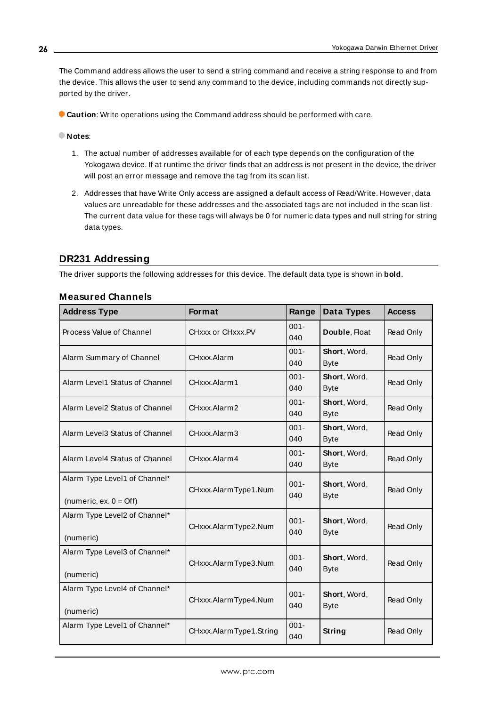The Command address allows the user to send a string command and receive a string response to and from the device. This allows the user to send any command to the device, including commands not directly supported by the driver.

**Caution**: Write operations using the Command address should be performed with care.

#### **Notes**:

- 1. The actual number of addresses available for of each type depends on the configuration of the Yokogawa device. If at runtime the driver finds that an address is not present in the device, the driver will post an error message and remove the tag from its scan list.
- 2. Addresses that have Write Only access are assigned a default access of Read/Write. However, data values are unreadable for these addresses and the associated tags are not included in the scan list. The current data value for these tags will always be 0 for numeric data types and null string for string data types.

#### <span id="page-25-0"></span>**DR231 Addressing**

The driver supports the following addresses for this device. The default data type is shown in **bold**.

| <b>Address Type</b>                                               | <b>Format</b>           | Range          | Data Types                  | <b>Access</b> |
|-------------------------------------------------------------------|-------------------------|----------------|-----------------------------|---------------|
| Process Value of Channel                                          | CHxxx or CHxxx.PV       | $001 -$<br>040 | Double, Float               | Read Only     |
| Alarm Summary of Channel                                          | CHxxx.Alarm             | $001 -$<br>040 | Short, Word,<br><b>Byte</b> | Read Only     |
| Alarm Level1 Status of Channel                                    | CHxxx.Alarm1            | $001 -$<br>040 | Short, Word,<br><b>Byte</b> | Read Only     |
| Alarm Level2 Status of Channel                                    | CHxxx.Alarm2            | $001 -$<br>040 | Short, Word,<br><b>Byte</b> | Read Only     |
| Alarm Level3 Status of Channel                                    | CHxxx.Alarm3            | $001 -$<br>040 | Short, Word,<br><b>Byte</b> | Read Only     |
| Alarm Level4 Status of Channel                                    | CHxxx.Alarm4            | $001 -$<br>040 | Short, Word,<br><b>Byte</b> | Read Only     |
| Alarm Type Level1 of Channel*<br>(numeric, ex. $0 = \text{Off}$ ) | CHxxx.AlarmType1.Num    | $001 -$<br>040 | Short, Word,<br><b>Byte</b> | Read Only     |
| Alarm Type Level2 of Channel*<br>(numeric)                        | CHxxx.AlarmType2.Num    | $001 -$<br>040 | Short, Word,<br><b>Byte</b> | Read Only     |
| Alarm Type Level3 of Channel*<br>(numeric)                        | CHxxx.AlarmType3.Num    | $001 -$<br>040 | Short, Word,<br><b>Byte</b> | Read Only     |
| Alarm Type Level4 of Channel*<br>(numeric)                        | CHxxx.AlarmType4.Num    | $001 -$<br>040 | Short, Word,<br><b>Byte</b> | Read Only     |
| Alarm Type Level1 of Channel*                                     | CHxxx.AlarmType1.String | $001 -$<br>040 | String                      | Read Only     |

#### **Measured Channels**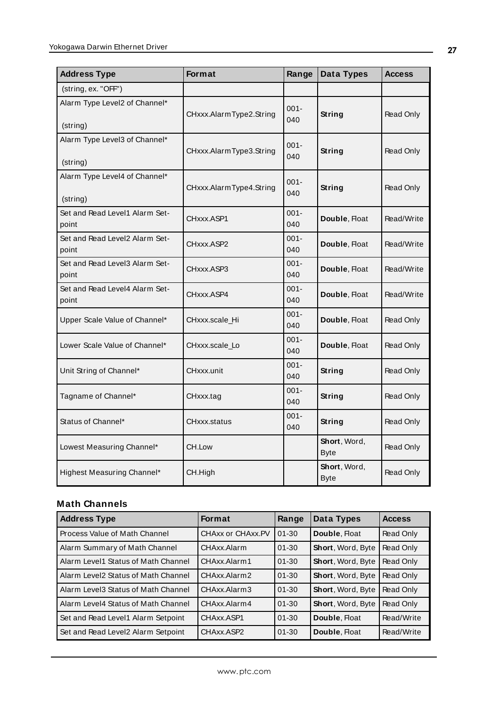| <b>Address Type</b>                       | Format                  | Range          | Data Types                  | <b>Access</b> |
|-------------------------------------------|-------------------------|----------------|-----------------------------|---------------|
| (string, ex. "OFF")                       |                         |                |                             |               |
| Alarm Type Level2 of Channel*<br>(string) | CHxxx.AlarmType2.String | $001 -$<br>040 | String                      | Read Only     |
| Alarm Type Level3 of Channel*<br>(string) | CHxxx.AlarmType3.String | $001 -$<br>040 | String                      | Read Only     |
| Alarm Type Level4 of Channel*<br>(string) | CHxxx.AlarmType4.String | $001 -$<br>040 | String                      | Read Only     |
| Set and Read Level1 Alarm Set-<br>point   | CHxxx.ASP1              | $001 -$<br>040 | Double, Float               | Read/Write    |
| Set and Read Level2 Alarm Set-<br>point   | CHxxx.ASP2              | $001 -$<br>040 | Double, Float               | Read/Write    |
| Set and Read Level3 Alarm Set-<br>point   | CHxxx.ASP3              | $001 -$<br>040 | Double, Float               | Read/Write    |
| Set and Read Level4 Alarm Set-<br>point   | CHxxx.ASP4              | $001 -$<br>040 | Double, Float               | Read/Write    |
| Upper Scale Value of Channel*             | CHxxx.scale_Hi          | $001 -$<br>040 | Double, Float               | Read Only     |
| Lower Scale Value of Channel*             | CHxxx.scale_Lo          | $001 -$<br>040 | Double, Float               | Read Only     |
| Unit String of Channel*                   | CHxxx.unit              | $001 -$<br>040 | String                      | Read Only     |
| Tagname of Channel*                       | CHxxx.tag               | $001 -$<br>040 | String                      | Read Only     |
| Status of Channel*                        | CHxxx.status            | $001 -$<br>040 | String                      | Read Only     |
| Lowest Measuring Channel*                 | CH.Low                  |                | Short, Word,<br><b>Byte</b> | Read Only     |
| Highest Measuring Channel*                | CH.High                 |                | Short, Word,<br><b>Byte</b> | Read Only     |

# **Math Channels**

| <b>Address Type</b>                 | <b>Format</b>     | Range     | Data Types               | <b>Access</b> |
|-------------------------------------|-------------------|-----------|--------------------------|---------------|
| Process Value of Math Channel       | CHAxx or CHAxx.PV | $01 - 30$ | Double, Float            | Read Only     |
| Alarm Summary of Math Channel       | CHAxx Alarm       | $01 - 30$ | Short, Word, Byte        | Read Only     |
| Alarm Level1 Status of Math Channel | CHAxx.Alarm1      | $01 - 30$ | Short, Word, Byte        | Read Only     |
| Alarm Level2 Status of Math Channel | CHAxx Alarm2      | $01 - 30$ | <b>Short, Word, Byte</b> | Read Only     |
| Alarm Level3 Status of Math Channel | CHAxx Alarm3      | $01 - 30$ | <b>Short, Word, Byte</b> | Read Only     |
| Alarm Level4 Status of Math Channel | CHAxx Alarm4      | $01 - 30$ | <b>Short, Word, Byte</b> | Read Only     |
| Set and Read Level1 Alarm Setpoint  | CHAxx.ASP1        | $01 - 30$ | Double, Float            | Read/Write    |
| Set and Read Level2 Alarm Setpoint  | CHAxx ASP2        | $01 - 30$ | Double, Float            | Read/Write    |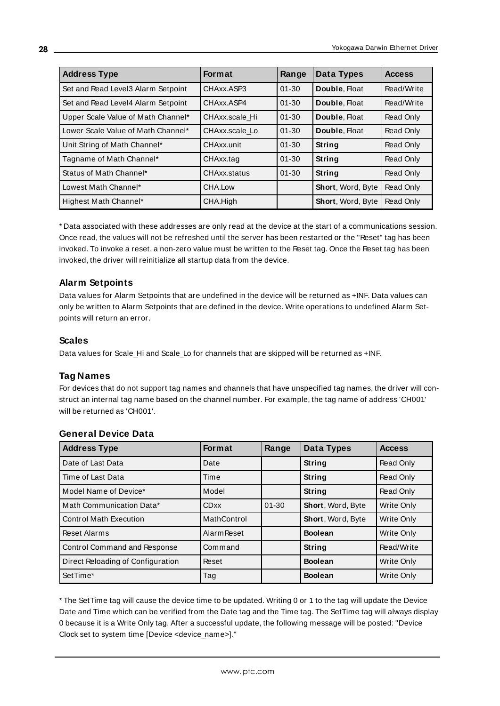| <b>Address Type</b>                | <b>Format</b>  | Range     | Data Types               | <b>Access</b> |
|------------------------------------|----------------|-----------|--------------------------|---------------|
| Set and Read Level3 Alarm Setpoint | CHAxx.ASP3     | $01 - 30$ | Double, Float            | Read/Write    |
| Set and Read Level4 Alarm Setpoint | CHAxx.ASP4     | $01 - 30$ | Double, Float            | Read/Write    |
| Upper Scale Value of Math Channel* | CHAxx.scale Hi | $01 - 30$ | Double, Float            | Read Only     |
| Lower Scale Value of Math Channel* | CHAxx.scale_Lo | $01 - 30$ | Double, Float            | Read Only     |
| Unit String of Math Channel*       | CHAxx.unit     | $01 - 30$ | String                   | Read Only     |
| Tagname of Math Channel*           | CHAxx.tag      | $01 - 30$ | String                   | Read Only     |
| Status of Math Channel*            | CHAxx.status   | $01 - 30$ | String                   | Read Only     |
| Lowest Math Channel*               | CHA.Low        |           | Short, Word, Byte        | Read Only     |
| Highest Math Channel*              | CHA.High       |           | <b>Short, Word, Byte</b> | Read Only     |

\* Data associated with these addresses are only read at the device at the start of a communications session. Once read, the values will not be refreshed until the server has been restarted or the "Reset" tag has been invoked. To invoke a reset, a non-zero value must be written to the Reset tag. Once the Reset tag has been invoked, the driver will reinitialize all startup data from the device.

#### **Alarm Setpoints**

Data values for Alarm Setpoints that are undefined in the device will be returned as +INF. Data values can only be written to Alarm Setpoints that are defined in the device. Write operations to undefined Alarm Setpoints will return an error.

#### **Scales**

Data values for Scale\_Hi and Scale\_Lo for channels that are skipped will be returned as +INF.

### **Tag Names**

For devices that do not support tag names and channels that have unspecified tag names, the driver will construct an internal tag name based on the channel number. For example, the tag name of address 'CH001' will be returned as 'CH001'.

| <b>Address Type</b>               | <b>Format</b>      | Range     | Data Types               | <b>Access</b> |
|-----------------------------------|--------------------|-----------|--------------------------|---------------|
| Date of Last Data                 | Date               |           | String                   | Read Only     |
| Time of Last Data                 | Time               |           | String                   | Read Only     |
| Model Name of Device*             | Model              |           | String                   | Read Only     |
| Math Communication Data*          | <b>CDxx</b>        | $01 - 30$ | Short, Word, Byte        | Write Only    |
| <b>Control Math Execution</b>     | MathControl        |           | <b>Short, Word, Byte</b> | Write Only    |
| <b>Reset Alarms</b>               | <b>Alarm Reset</b> |           | <b>Boolean</b>           | Write Only    |
| Control Command and Response      | Command            |           | String                   | Read/Write    |
| Direct Reloading of Configuration | Reset              |           | <b>Boolean</b>           | Write Only    |
| SetTime*                          | Tag                |           | <b>Boolean</b>           | Write Only    |

#### **General Device Data**

\* The SetTime tag will cause the device time to be updated. Writing 0 or 1 to the tag will update the Device Date and Time which can be verified from the Date tag and the Time tag. The SetTime tag will always display 0 because it is a Write Only tag. After a successful update, the following message will be posted: "Device Clock set to system time [Device <device\_name>]."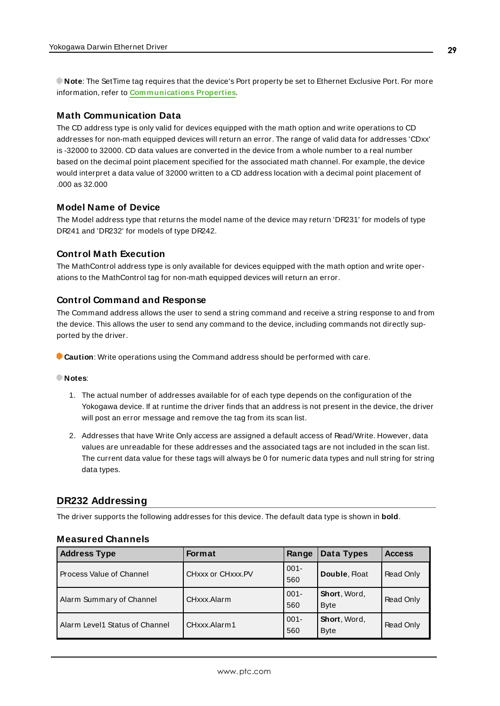**Note**: The SetTime tag requires that the device's Port property be set to Ethernet Exclusive Port. For more information, refer to **[Communications](#page-14-0) Properties**.

#### **Math Communication Data**

The CD address type is only valid for devices equipped with the math option and write operations to CD addresses for non-math equipped devices will return an error. The range of valid data for addresses 'CDxx' is -32000 to 32000. CD data values are converted in the device from a whole number to a real number based on the decimal point placement specified for the associated math channel. For example, the device would interpret a data value of 32000 written to a CD address location with a decimal point placement of .000 as 32.000

#### **Model Name of Device**

The Model address type that returns the model name of the device may return 'DR231' for models of type DR241 and 'DR232' for models of type DR242.

#### **Control Math Execution**

The MathControl address type is only available for devices equipped with the math option and write operations to the MathControl tag for non-math equipped devices will return an error.

#### **Control Command and Response**

The Command address allows the user to send a string command and receive a string response to and from the device. This allows the user to send any command to the device, including commands not directly supported by the driver.

**Caution**: Write operations using the Command address should be performed with care.

#### **Notes**:

- 1. The actual number of addresses available for of each type depends on the configuration of the Yokogawa device. If at runtime the driver finds that an address is not present in the device, the driver will post an error message and remove the tag from its scan list.
- 2. Addresses that have Write Only access are assigned a default access of Read/Write. However, data values are unreadable for these addresses and the associated tags are not included in the scan list. The current data value for these tags will always be 0 for numeric data types and null string for string data types.

#### <span id="page-28-0"></span>**DR232 Addressing**

The driver supports the following addresses for this device. The default data type is shown in **bold**.

#### **Measured Channels**

| <b>Address Type</b>            | <b>Format</b>     | Range          | Data Types                  | <b>Access</b> |
|--------------------------------|-------------------|----------------|-----------------------------|---------------|
| Process Value of Channel       | CHXXX or CHXXX.PV | $001 -$<br>560 | Double, Float               | Read Only     |
| Alarm Summary of Channel       | CHxxx Alarm       | $001 -$<br>560 | Short, Word,<br><b>Byte</b> | Read Only     |
| Alarm Level1 Status of Channel | CHxxx.Alarm1      | $001 -$<br>560 | Short, Word,<br><b>Byte</b> | Read Only     |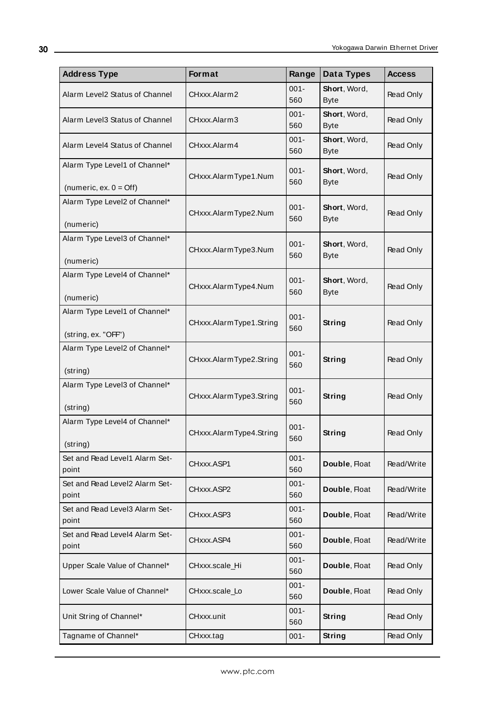| <b>Address Type</b>                                               | Format                  | Range          | Data Types                  | <b>Access</b> |
|-------------------------------------------------------------------|-------------------------|----------------|-----------------------------|---------------|
| Alarm Level2 Status of Channel                                    | CHxxx.Alarm2            | $001 -$<br>560 | Short, Word,<br><b>Byte</b> | Read Only     |
| Alarm Level3 Status of Channel                                    | CHxxx.Alarm3            | $001 -$<br>560 | Short, Word,<br><b>Byte</b> | Read Only     |
| Alarm Level4 Status of Channel                                    | CHxxx.Alarm4            | $001 -$<br>560 | Short, Word,<br><b>Byte</b> | Read Only     |
| Alarm Type Level1 of Channel*<br>(numeric, ex. $0 = \text{Off}$ ) | CHxxx.AlarmType1.Num    | $001 -$<br>560 | Short, Word,<br><b>Byte</b> | Read Only     |
| Alarm Type Level2 of Channel*<br>(numeric)                        | CHxxx.AlarmType2.Num    | $001 -$<br>560 | Short, Word,<br><b>Byte</b> | Read Only     |
| Alarm Type Level3 of Channel*<br>(numeric)                        | CHxxx.AlarmType3.Num    | $001 -$<br>560 | Short, Word,<br><b>Byte</b> | Read Only     |
| Alarm Type Level4 of Channel*<br>(numeric)                        | CHxxx.AlarmType4.Num    | $001 -$<br>560 | Short, Word,<br><b>Byte</b> | Read Only     |
| Alarm Type Level1 of Channel*<br>(string, ex. "OFF")              | CHxxx.AlarmType1.String | $001 -$<br>560 | String                      | Read Only     |
| Alarm Type Level2 of Channel*<br>(string)                         | CHxxx.AlarmType2.String | $001 -$<br>560 | String                      | Read Only     |
| Alarm Type Level3 of Channel*<br>(string)                         | CHxxx.AlarmType3.String | $001 -$<br>560 | String                      | Read Only     |
| Alarm Type Level4 of Channel*<br>(string)                         | CHxxx.AlarmType4.String | $001 -$<br>560 | String                      | Read Only     |
| Set and Read Level1 Alarm Set-<br>point                           | CHxxx.ASP1              | $001 -$<br>560 | Double, Float               | Read/Write    |
| Set and Read Level2 Alarm Set-<br>point                           | CHxxx.ASP2              | $001 -$<br>560 | Double, Float               | Read/Write    |
| Set and Read Level3 Alarm Set-<br>point                           | CHxxx.ASP3              | $001 -$<br>560 | Double, Float               | Read/Write    |
| Set and Read Level4 Alarm Set-<br>point                           | CHxxx.ASP4              | $001 -$<br>560 | Double, Float               | Read/Write    |
| Upper Scale Value of Channel*                                     | CHxxx.scale_Hi          | $001 -$<br>560 | Double, Float               | Read Only     |
| Lower Scale Value of Channel*                                     | CHxxx.scale_Lo          | $001 -$<br>560 | Double, Float               | Read Only     |
| Unit String of Channel*                                           | CHxxx.unit              | $001 -$<br>560 | <b>String</b>               | Read Only     |
| Tagname of Channel*                                               | CHxxx.tag               | $001 -$        | <b>String</b>               | Read Only     |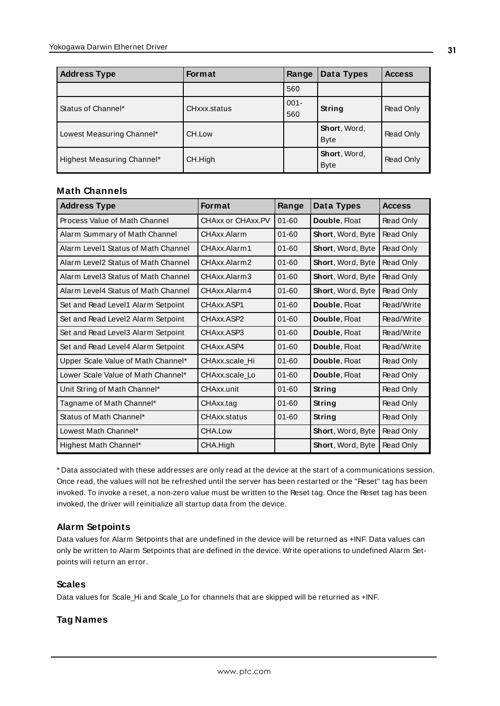| <b>Address Type</b>        | <b>Format</b> | Range          | Data Types                  | <b>Access</b> |
|----------------------------|---------------|----------------|-----------------------------|---------------|
|                            |               | 560            |                             |               |
| Status of Channel*         | CHxxx.status  | $001 -$<br>560 | String                      | Read Only     |
| Lowest Measuring Channel*  | CH.Low        |                | Short, Word,<br><b>Byte</b> | Read Only     |
| Highest Measuring Channel* | CH.High       |                | Short, Word,<br><b>Byte</b> | Read Only     |

#### **Math Channels**

| <b>Address Type</b>                 | <b>Format</b>     | Range     | Data Types               | <b>Access</b> |
|-------------------------------------|-------------------|-----------|--------------------------|---------------|
| Process Value of Math Channel       | CHAXX or CHAXX.PV | $01 - 60$ | Double, Float            | Read Only     |
| Alarm Summary of Math Channel       | CHAxx Alarm       | $01 - 60$ | Short, Word, Byte        | Read Only     |
| Alarm Level1 Status of Math Channel | CHAxx.Alarm1      | $01 - 60$ | Short, Word, Byte        | Read Only     |
| Alarm Level2 Status of Math Channel | CHAxx.Alarm2      | $01 - 60$ | Short, Word, Byte        | Read Only     |
| Alarm Level3 Status of Math Channel | CHAxx.Alarm3      | $01 - 60$ | Short, Word, Byte        | Read Only     |
| Alarm Level4 Status of Math Channel | CHAxx.Alarm4      | $01 - 60$ | <b>Short, Word, Byte</b> | Read Only     |
| Set and Read Level1 Alarm Setpoint  | CHAxx.ASP1        | $01 - 60$ | Double, Float            | Read/Write    |
| Set and Read Level2 Alarm Setpoint  | CHAxx ASP2        | $01 - 60$ | Double, Float            | Read/Write    |
| Set and Read Level3 Alarm Setpoint  | CHAxx ASP3        | $01 - 60$ | Double, Float            | Read/Write    |
| Set and Read Level4 Alarm Setpoint  | CHAxx ASP4        | $01 - 60$ | Double, Float            | Read/Write    |
| Upper Scale Value of Math Channel*  | CHAxx.scale Hi    | $01 - 60$ | Double, Float            | Read Only     |
| Lower Scale Value of Math Channel*  | CHAxx.scale Lo    | $01 - 60$ | Double, Float            | Read Only     |
| Unit String of Math Channel*        | <b>CHAxx</b> unit | $01 - 60$ | String                   | Read Only     |
| Tagname of Math Channel*            | CHAxx.tag         | $01 - 60$ | String                   | Read Only     |
| Status of Math Channel*             | CHAxx.status      | $01 - 60$ | <b>String</b>            | Read Only     |
| Lowest Math Channel*                | CHA.Low           |           | Short, Word, Byte        | Read Only     |
| Highest Math Channel*               | CHA.High          |           | Short, Word, Byte        | Read Only     |

\* Data associated with these addresses are only read at the device at the start of a communications session. Once read, the values will not be refreshed until the server has been restarted or the "Reset" tag has been invoked. To invoke a reset, a non-zero value must be written to the Reset tag. Once the Reset tag has been invoked, the driver will reinitialize all startup data from the device.

#### **Alarm Setpoints**

Data values for Alarm Setpoints that are undefined in the device will be returned as +INF. Data values can only be written to Alarm Setpoints that are defined in the device. Write operations to undefined Alarm Setpoints will return an error.

#### **Scales**

Data values for Scale\_Hi and Scale\_Lo for channels that are skipped will be returned as +INF.

#### **Tag Names**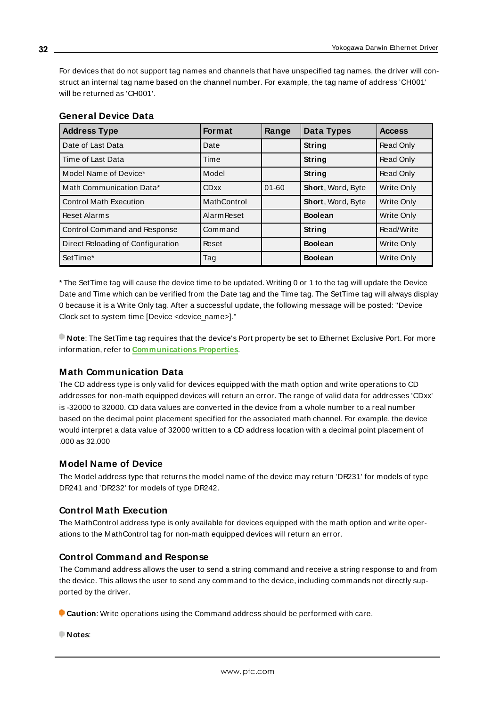For devices that do not support tag names and channels that have unspecified tag names, the driver will construct an internal tag name based on the channel number. For example, the tag name of address 'CH001' will be returned as 'CH001'.

| <b>Address Type</b>                 | <b>Format</b>      | Range     | Data Types        | <b>Access</b>     |
|-------------------------------------|--------------------|-----------|-------------------|-------------------|
| Date of Last Data                   | Date               |           | String            | Read Only         |
| Time of Last Data                   | Time               |           | String            | Read Only         |
| Model Name of Device*               | Model              |           | String            | Read Only         |
| Math Communication Data*            | <b>CDxx</b>        | $01 - 60$ | Short, Word, Byte | Write Only        |
| <b>Control Math Execution</b>       | MathControl        |           | Short, Word, Byte | Write Only        |
| <b>Reset Alarms</b>                 | <b>Alarm Reset</b> |           | <b>Boolean</b>    | Write Only        |
| <b>Control Command and Response</b> | Command            |           | String            | Read/Write        |
| Direct Reloading of Configuration   | Reset              |           | <b>Boolean</b>    | <b>Write Only</b> |
| SetTime*                            | Tag                |           | <b>Boolean</b>    | Write Only        |

#### **General Device Data**

\* The SetTime tag will cause the device time to be updated. Writing 0 or 1 to the tag will update the Device Date and Time which can be verified from the Date tag and the Time tag. The SetTime tag will always display 0 because it is a Write Only tag. After a successful update, the following message will be posted: "Device Clock set to system time [Device <device\_name>]."

**Note**: The SetTime tag requires that the device's Port property be set to Ethernet Exclusive Port. For more information, refer to **[Communications](#page-14-0) Properties**.

#### **Math Communication Data**

The CD address type is only valid for devices equipped with the math option and write operations to CD addresses for non-math equipped devices will return an error. The range of valid data for addresses 'CDxx' is -32000 to 32000. CD data values are converted in the device from a whole number to a real number based on the decimal point placement specified for the associated math channel. For example, the device would interpret a data value of 32000 written to a CD address location with a decimal point placement of .000 as 32.000

#### **Model Name of Device**

The Model address type that returns the model name of the device may return 'DR231' for models of type DR241 and 'DR232' for models of type DR242.

#### **Control Math Execution**

The MathControl address type is only available for devices equipped with the math option and write operations to the MathControl tag for non-math equipped devices will return an error.

#### **Control Command and Response**

The Command address allows the user to send a string command and receive a string response to and from the device. This allows the user to send any command to the device, including commands not directly supported by the driver.

**Caution**: Write operations using the Command address should be performed with care.

**Notes**: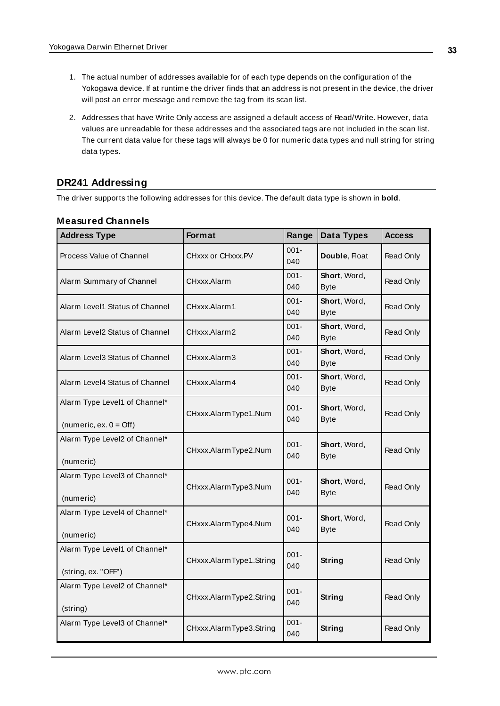- 1. The actual number of addresses available for of each type depends on the configuration of the Yokogawa device. If at runtime the driver finds that an address is not present in the device, the driver will post an error message and remove the tag from its scan list.
- 2. Addresses that have Write Only access are assigned a default access of Read/Write. However, data values are unreadable for these addresses and the associated tags are not included in the scan list. The current data value for these tags will always be 0 for numeric data types and null string for string data types.

# <span id="page-32-0"></span>**DR241 Addressing**

The driver supports the following addresses for this device. The default data type is shown in **bold**.

| <b>Address Type</b>                                               | Format                  | Range          | Data Types                  | <b>Access</b> |
|-------------------------------------------------------------------|-------------------------|----------------|-----------------------------|---------------|
| Process Value of Channel                                          | CHxxx or CHxxx.PV       | $001 -$<br>040 | Double, Float               | Read Only     |
| Alarm Summary of Channel                                          | CHxxx.Alarm             | $001 -$<br>040 | Short, Word,<br><b>Byte</b> | Read Only     |
| Alarm Level1 Status of Channel                                    | CHxxx.Alarm1            | $001 -$<br>040 | Short, Word,<br><b>Byte</b> | Read Only     |
| Alarm Level2 Status of Channel                                    | CHxxx.Alarm2            | $001 -$<br>040 | Short, Word,<br><b>Byte</b> | Read Only     |
| Alarm Level3 Status of Channel                                    | CHxxx.Alarm3            | $001 -$<br>040 | Short, Word,<br><b>Byte</b> | Read Only     |
| Alarm Level4 Status of Channel                                    | CHxxx.Alarm4            | $001 -$<br>040 | Short, Word,<br><b>Byte</b> | Read Only     |
| Alarm Type Level1 of Channel*<br>(numeric, ex. $0 = \text{Off}$ ) | CHxxx.AlarmType1.Num    | $001 -$<br>040 | Short, Word,<br><b>Byte</b> | Read Only     |
| Alarm Type Level2 of Channel*<br>(numeric)                        | CHxxx.AlarmType2.Num    | $001 -$<br>040 | Short, Word,<br><b>Byte</b> | Read Only     |
| Alarm Type Level3 of Channel*<br>(numeric)                        | CHxxx.AlarmType3.Num    | $001 -$<br>040 | Short, Word,<br><b>Byte</b> | Read Only     |
| Alarm Type Level4 of Channel*<br>(numeric)                        | CHxxx.AlarmType4.Num    | $001 -$<br>040 | Short, Word,<br><b>Byte</b> | Read Only     |
| Alarm Type Level1 of Channel*<br>(string, ex. "OFF")              | CHxxx.AlarmType1.String | $001 -$<br>040 | String                      | Read Only     |
| Alarm Type Level2 of Channel*<br>(string)                         | CHxxx.AlarmType2.String | $001 -$<br>040 | String                      | Read Only     |
| Alarm Type Level3 of Channel*                                     | CHxxx.AlarmType3.String | $001 -$<br>040 | String                      | Read Only     |

#### **Measured Channels**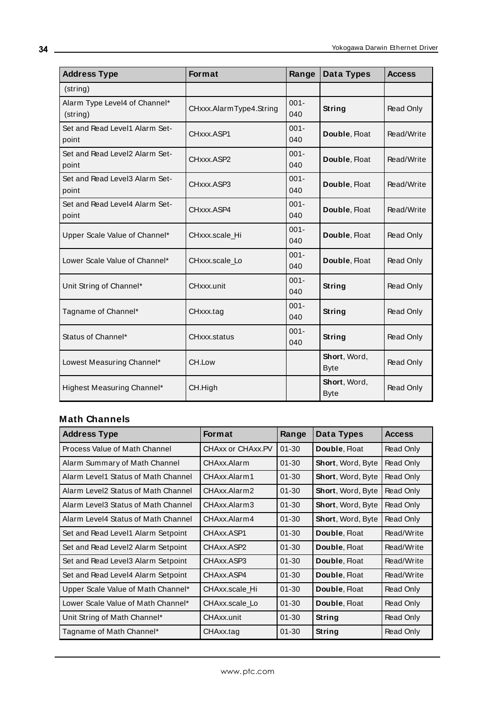| <b>Address Type</b>                       | <b>Format</b>           | Range          | Data Types                  | <b>Access</b> |
|-------------------------------------------|-------------------------|----------------|-----------------------------|---------------|
| (string)                                  |                         |                |                             |               |
| Alarm Type Level4 of Channel*<br>(string) | CHxxx.AlarmType4.String | $001 -$<br>040 | String                      | Read Only     |
| Set and Read Level1 Alarm Set-<br>point   | CHxxx.ASP1              | $001 -$<br>040 | Double, Float               | Read/Write    |
| Set and Read Level2 Alarm Set-<br>point   | CHxxx.ASP2              | $001 -$<br>040 | Double, Float               | Read/Write    |
| Set and Read Level3 Alarm Set-<br>point   | CHxxx.ASP3              | $001 -$<br>040 | Double, Float               | Read/Write    |
| Set and Read Level4 Alarm Set-<br>point   | CHxxx.ASP4              | $001 -$<br>040 | Double, Float               | Read/Write    |
| Upper Scale Value of Channel*             | CHxxx.scale_Hi          | $001 -$<br>040 | Double, Float               | Read Only     |
| Lower Scale Value of Channel*             | CHxxx.scale Lo          | $001 -$<br>040 | Double, Float               | Read Only     |
| Unit String of Channel*                   | CHxxx.unit              | $001 -$<br>040 | String                      | Read Only     |
| Tagname of Channel*                       | CHxxx.tag               | $001 -$<br>040 | String                      | Read Only     |
| Status of Channel*                        | CHxxx.status            | $001 -$<br>040 | String                      | Read Only     |
| Lowest Measuring Channel*                 | CH.Low                  |                | Short, Word,<br><b>Byte</b> | Read Only     |
| Highest Measuring Channel*                | CH.High                 |                | Short, Word,<br><b>Byte</b> | Read Only     |

# **Math Channels**

| <b>Address Type</b>                 | <b>Format</b>     | Range     | Data Types               | <b>Access</b> |
|-------------------------------------|-------------------|-----------|--------------------------|---------------|
| Process Value of Math Channel       | CHAxx or CHAxx.PV | $01 - 30$ | Double, Float            | Read Only     |
| Alarm Summary of Math Channel       | CHAxx.Alarm       | $01 - 30$ | <b>Short, Word, Byte</b> | Read Only     |
| Alarm Level1 Status of Math Channel | CHAxx.Alarm1      | $01 - 30$ | Short, Word, Byte        | Read Only     |
| Alarm Level2 Status of Math Channel | CHAxx.Alarm2      | $01 - 30$ | <b>Short, Word, Byte</b> | Read Only     |
| Alarm Level3 Status of Math Channel | CHAxx.Alarm3      | $01 - 30$ | Short, Word, Byte        | Read Only     |
| Alarm Level4 Status of Math Channel | CHAxx.Alarm4      | $01 - 30$ | Short, Word, Byte        | Read Only     |
| Set and Read Level1 Alarm Setpoint  | CHAxx.ASP1        | $01 - 30$ | Double, Float            | Read/Write    |
| Set and Read Level2 Alarm Setpoint  | CHAxx.ASP2        | $01 - 30$ | Double, Float            | Read/Write    |
| Set and Read Level3 Alarm Setpoint  | CHAxx.ASP3        | $01 - 30$ | Double, Float            | Read/Write    |
| Set and Read Level4 Alarm Setpoint  | CHAxx.ASP4        | $01 - 30$ | Double, Float            | Read/Write    |
| Upper Scale Value of Math Channel*  | CHAxx.scale Hi    | $01 - 30$ | Double, Float            | Read Only     |
| Lower Scale Value of Math Channel*  | CHAxx.scale Lo    | $01 - 30$ | Double, Float            | Read Only     |
| Unit String of Math Channel*        | CHAxx.unit        | $01 - 30$ | String                   | Read Only     |
| Tagname of Math Channel*            | CHAxx.tag         | $01 - 30$ | String                   | Read Only     |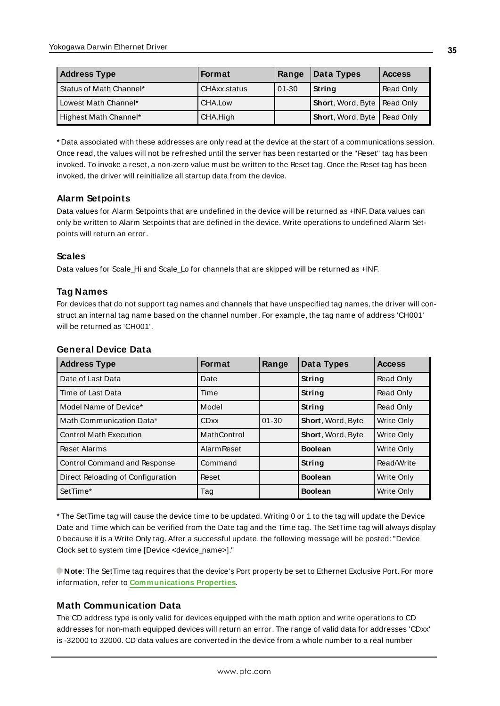| <b>Address Type</b>     | <b>Format</b> | Range     | Data Types                           | <b>Access</b> |
|-------------------------|---------------|-----------|--------------------------------------|---------------|
| Status of Math Channel* | CHAxx.status  | $01 - 30$ | <b>String</b>                        | Read Only     |
| Lowest Math Channel*    | CHA.Low       |           | <b>Short, Word, Byte   Read Only</b> |               |
| Highest Math Channel*   | CHA.High      |           | <b>Short, Word, Byte   Read Only</b> |               |

\* Data associated with these addresses are only read at the device at the start of a communications session. Once read, the values will not be refreshed until the server has been restarted or the "Reset" tag has been invoked. To invoke a reset, a non-zero value must be written to the Reset tag. Once the Reset tag has been invoked, the driver will reinitialize all startup data from the device.

### **Alarm Setpoints**

Data values for Alarm Setpoints that are undefined in the device will be returned as +INF. Data values can only be written to Alarm Setpoints that are defined in the device. Write operations to undefined Alarm Setpoints will return an error.

#### **Scales**

Data values for Scale\_Hi and Scale\_Lo for channels that are skipped will be returned as +INF.

#### **Tag Names**

For devices that do not support tag names and channels that have unspecified tag names, the driver will construct an internal tag name based on the channel number. For example, the tag name of address 'CH001' will be returned as 'CH001'.

| <b>Address Type</b>               | <b>Format</b>      | Range     | Data Types        | <b>Access</b>     |
|-----------------------------------|--------------------|-----------|-------------------|-------------------|
| Date of Last Data                 | Date               |           | String            | <b>Read Only</b>  |
| Time of Last Data                 | Time               |           | String            | <b>Read Only</b>  |
| Model Name of Device*             | Model              |           | String            | Read Only         |
| Math Communication Data*          | <b>CDxx</b>        | $01 - 30$ | Short, Word, Byte | Write Only        |
| <b>Control Math Execution</b>     | MathControl        |           | Short, Word, Byte | <b>Write Only</b> |
| <b>Reset Alarms</b>               | <b>Alarm Reset</b> |           | <b>Boolean</b>    | Write Only        |
| Control Command and Response      | Command            |           | String            | Read/Write        |
| Direct Reloading of Configuration | Reset              |           | <b>Boolean</b>    | Write Only        |
| SetTime*                          | Tag                |           | <b>Boolean</b>    | Write Only        |

#### **General Device Data**

\* The SetTime tag will cause the device time to be updated. Writing 0 or 1 to the tag will update the Device Date and Time which can be verified from the Date tag and the Time tag. The SetTime tag will always display 0 because it is a Write Only tag. After a successful update, the following message will be posted: "Device Clock set to system time [Device <device\_name>]."

**Note**: The SetTime tag requires that the device's Port property be set to Ethernet Exclusive Port. For more information, refer to **[Communications](#page-14-0) Properties**.

### **Math Communication Data**

The CD address type is only valid for devices equipped with the math option and write operations to CD addresses for non-math equipped devices will return an error. The range of valid data for addresses 'CDxx' is -32000 to 32000. CD data values are converted in the device from a whole number to a real number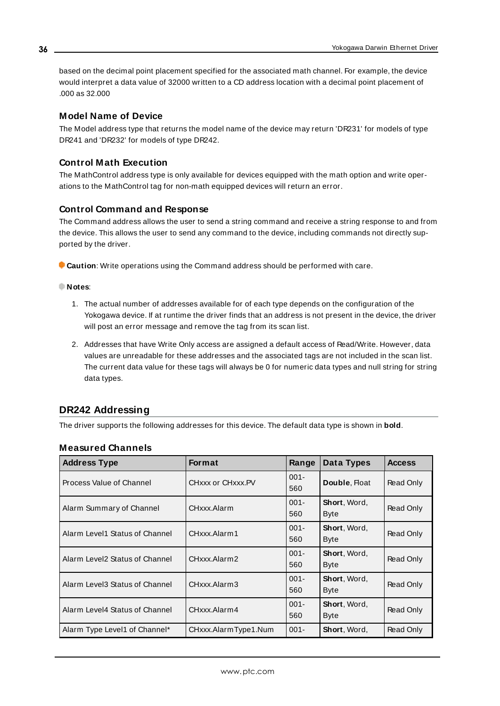based on the decimal point placement specified for the associated math channel. For example, the device would interpret a data value of 32000 written to a CD address location with a decimal point placement of .000 as 32.000

#### **Model Name of Device**

The Model address type that returns the model name of the device may return 'DR231' for models of type DR241 and 'DR232' for models of type DR242.

#### **Control Math Execution**

The MathControl address type is only available for devices equipped with the math option and write operations to the MathControl tag for non-math equipped devices will return an error.

#### **Control Command and Response**

The Command address allows the user to send a string command and receive a string response to and from the device. This allows the user to send any command to the device, including commands not directly supported by the driver.

**Caution**: Write operations using the Command address should be performed with care.

#### **Notes**:

- 1. The actual number of addresses available for of each type depends on the configuration of the Yokogawa device. If at runtime the driver finds that an address is not present in the device, the driver will post an error message and remove the tag from its scan list.
- 2. Addresses that have Write Only access are assigned a default access of Read/Write. However, data values are unreadable for these addresses and the associated tags are not included in the scan list. The current data value for these tags will always be 0 for numeric data types and null string for string data types.

#### <span id="page-35-0"></span>**DR242 Addressing**

The driver supports the following addresses for this device. The default data type is shown in **bold**.

| <b>Measured Channels</b> |  |
|--------------------------|--|
|--------------------------|--|

| <b>Address Type</b>            | <b>Format</b>        | Range          | Data Types                   | <b>Access</b> |
|--------------------------------|----------------------|----------------|------------------------------|---------------|
| Process Value of Channel       | CHXXX or CHXXX.PV    | $001 -$<br>560 | Double, Float                | Read Only     |
| Alarm Summary of Channel       | CHxxx.Alarm          | $001 -$<br>560 | Short, Word,<br><b>Byte</b>  | Read Only     |
| Alarm Level1 Status of Channel | CHxxx.Alarm1         | $001 -$<br>560 | Short, Word,<br>Byte         | Read Only     |
| Alarm Level2 Status of Channel | CHxxx.Alarm2         | $001 -$<br>560 | Short, Word,<br><b>Byte</b>  | Read Only     |
| Alarm Level3 Status of Channel | CHxxx.Alarm3         | $001 -$<br>560 | <b>Short</b> , Word,<br>Byte | Read Only     |
| Alarm Level4 Status of Channel | CHxxx.Alarm4         | $001 -$<br>560 | Short, Word,<br><b>Byte</b>  | Read Only     |
| Alarm Type Level1 of Channel*  | CHxxx.AlarmType1.Num | $001 -$        | <b>Short</b> , Word,         | Read Only     |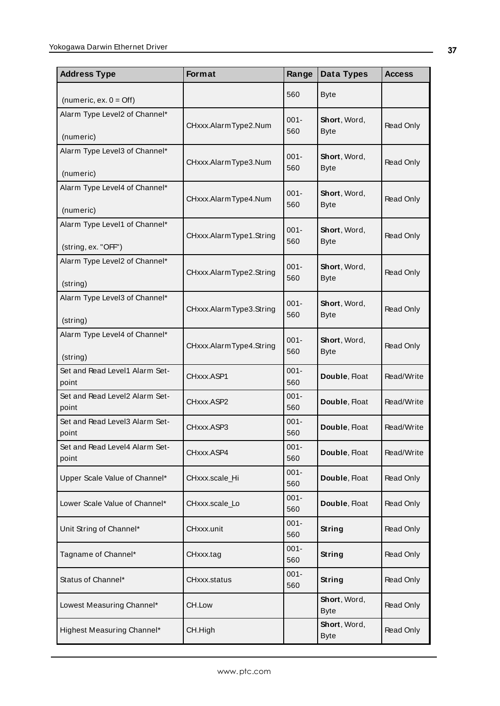| <b>Address Type</b>                                  | <b>Format</b>           | Range          | Data Types                  | <b>Access</b> |
|------------------------------------------------------|-------------------------|----------------|-----------------------------|---------------|
| (numeric, ex. $0 = \text{Off}$ )                     |                         | 560            | <b>Byte</b>                 |               |
| Alarm Type Level2 of Channel*<br>(numeric)           | CHxxx.AlarmType2.Num    | $001 -$<br>560 | Short, Word,<br><b>Byte</b> | Read Only     |
| Alarm Type Level3 of Channel*<br>(numeric)           | CHxxx.AlarmType3.Num    | $001 -$<br>560 | Short, Word,<br><b>Byte</b> | Read Only     |
| Alarm Type Level4 of Channel*<br>(numeric)           | CHxxx.AlarmType4.Num    | $001 -$<br>560 | Short, Word,<br><b>Byte</b> | Read Only     |
| Alarm Type Level1 of Channel*<br>(string, ex. "OFF") | CHxxx.AlarmType1.String | $001 -$<br>560 | Short, Word,<br><b>Byte</b> | Read Only     |
| Alarm Type Level2 of Channel*<br>(string)            | CHxxx.AlarmType2.String | $001 -$<br>560 | Short, Word,<br><b>Byte</b> | Read Only     |
| Alarm Type Level3 of Channel*<br>(string)            | CHxxx.AlarmType3.String | $001 -$<br>560 | Short, Word,<br><b>Byte</b> | Read Only     |
| Alarm Type Level4 of Channel*<br>(string)            | CHxxx.AlarmType4.String | $001 -$<br>560 | Short, Word,<br><b>Byte</b> | Read Only     |
| Set and Read Level1 Alarm Set-<br>point              | CHxxx.ASP1              | $001 -$<br>560 | Double, Float               | Read/Write    |
| Set and Read Level2 Alarm Set-<br>point              | CHxxx.ASP2              | $001 -$<br>560 | Double, Float               | Read/Write    |
| Set and Read Level3 Alarm Set-<br>point              | CHxxx.ASP3              | $001 -$<br>560 | Double, Float               | Read/Write    |
| Set and Read Level4 Alarm Set-<br>point              | CHxxx.ASP4              | $001 -$<br>560 | Double, Float               | Read/Write    |
| Upper Scale Value of Channel*                        | CHxxx.scale_Hi          | $001 -$<br>560 | Double, Float               | Read Only     |
| Lower Scale Value of Channel*                        | CHxxx.scale_Lo          | $001 -$<br>560 | Double, Float               | Read Only     |
| Unit String of Channel*                              | CHxxx.unit              | $001 -$<br>560 | String                      | Read Only     |
| Tagname of Channel*                                  | CHxxx.tag               | $001 -$<br>560 | String                      | Read Only     |
| Status of Channel*                                   | CHxxx.status            | $001 -$<br>560 | String                      | Read Only     |
| Lowest Measuring Channel*                            | CH.Low                  |                | Short, Word,<br><b>Byte</b> | Read Only     |
| Highest Measuring Channel*                           | CH.High                 |                | Short, Word,<br><b>Byte</b> | Read Only     |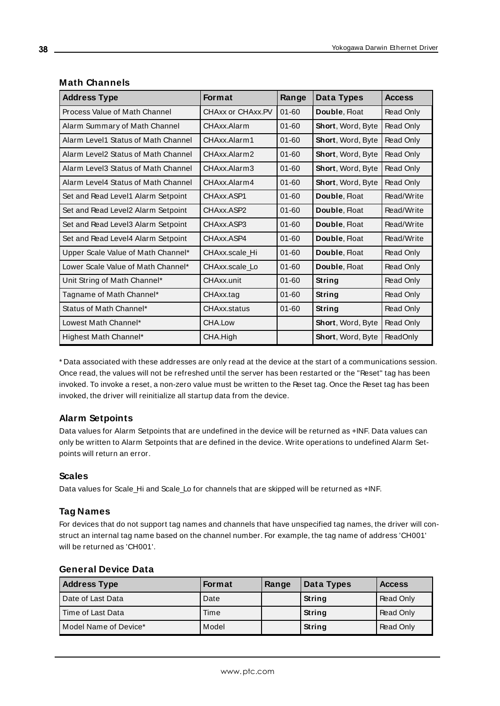| <b>Address Type</b>                 | <b>Format</b>     | Range     | Data Types        | <b>Access</b> |
|-------------------------------------|-------------------|-----------|-------------------|---------------|
| Process Value of Math Channel       | CHAxx or CHAxx.PV | $01 - 60$ | Double, Float     | Read Only     |
| Alarm Summary of Math Channel       | CHAxx.Alarm       | $01 - 60$ | Short, Word, Byte | Read Only     |
| Alarm Level1 Status of Math Channel | CHAxx.Alarm1      | $01 - 60$ | Short, Word, Byte | Read Only     |
| Alarm Level2 Status of Math Channel | CHAxx.Alarm2      | $01 - 60$ | Short, Word, Byte | Read Only     |
| Alarm Level3 Status of Math Channel | CHAxx.Alarm3      | $01 - 60$ | Short, Word, Byte | Read Only     |
| Alarm Level4 Status of Math Channel | CHAxx.Alarm4      | $01 - 60$ | Short, Word, Byte | Read Only     |
| Set and Read Level1 Alarm Setpoint  | CHAxx.ASP1        | $01 - 60$ | Double, Float     | Read/Write    |
| Set and Read Level2 Alarm Setpoint  | CHAxx.ASP2        | $01 - 60$ | Double, Float     | Read/Write    |
| Set and Read Level3 Alarm Setpoint  | CHAxx.ASP3        | $01 - 60$ | Double, Float     | Read/Write    |
| Set and Read Level4 Alarm Setpoint  | CHAxx.ASP4        | $01 - 60$ | Double, Float     | Read/Write    |
| Upper Scale Value of Math Channel*  | CHAxx.scale Hi    | $01 - 60$ | Double, Float     | Read Only     |
| Lower Scale Value of Math Channel*  | CHAxx.scale Lo    | $01 - 60$ | Double, Float     | Read Only     |
| Unit String of Math Channel*        | CHAxx.unit        | $01 - 60$ | String            | Read Only     |
| Tagname of Math Channel*            | CHAxx.tag         | $01 - 60$ | String            | Read Only     |
| Status of Math Channel*             | CHAxx.status      | $01 - 60$ | String            | Read Only     |
| Lowest Math Channel*                | CHA.Low           |           | Short, Word, Byte | Read Only     |
| Highest Math Channel*               | CHA.High          |           | Short, Word, Byte | ReadOnly      |

#### **Math Channels**

\* Data associated with these addresses are only read at the device at the start of a communications session. Once read, the values will not be refreshed until the server has been restarted or the "Reset" tag has been invoked. To invoke a reset, a non-zero value must be written to the Reset tag. Once the Reset tag has been invoked, the driver will reinitialize all startup data from the device.

#### **Alarm Setpoints**

Data values for Alarm Setpoints that are undefined in the device will be returned as +INF. Data values can only be written to Alarm Setpoints that are defined in the device. Write operations to undefined Alarm Setpoints will return an error.

#### **Scales**

Data values for Scale\_Hi and Scale\_Lo for channels that are skipped will be returned as +INF.

#### **Tag Names**

For devices that do not support tag names and channels that have unspecified tag names, the driver will construct an internal tag name based on the channel number. For example, the tag name of address 'CH001' will be returned as 'CH001'.

| <b>Address Type</b>   | <b>Format</b> | Range | Data Types    | <b>Access</b> |
|-----------------------|---------------|-------|---------------|---------------|
| Date of Last Data     | Date          |       | String        | Read Only     |
| Time of Last Data     | Time          |       | String        | Read Only     |
| Model Name of Device* | Model         |       | <b>String</b> | Read Only     |

#### **General Device Data**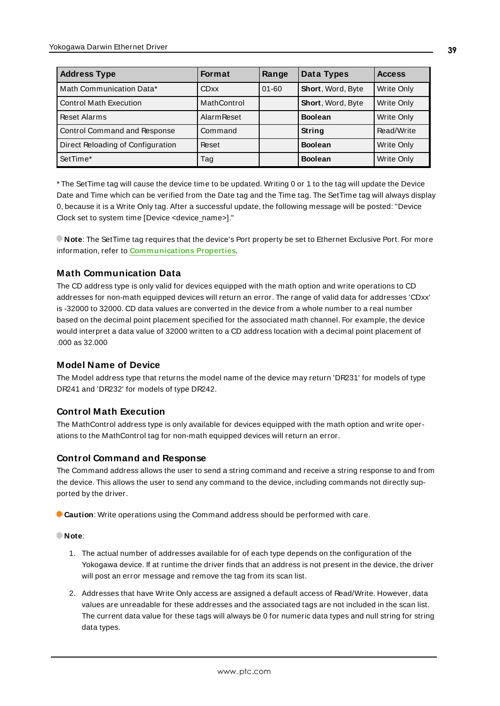| <b>Address Type</b>               | <b>Format</b>      | Range     | <b>Data Types</b> | <b>Access</b> |
|-----------------------------------|--------------------|-----------|-------------------|---------------|
| Math Communication Data*          | <b>CDxx</b>        | $01 - 60$ | Short, Word, Byte | Write Only    |
| Control Math Execution            | MathControl        |           | Short, Word, Byte | Write Only    |
| Reset Alarms                      | <b>Alarm Reset</b> |           | <b>Boolean</b>    | Write Only    |
| Control Command and Response      | Command            |           | String            | Read/Write    |
| Direct Reloading of Configuration | Reset              |           | <b>Boolean</b>    | Write Only    |
| SetTime*                          | Tag                |           | <b>Boolean</b>    | Write Only    |

\* The SetTime tag will cause the device time to be updated. Writing 0 or 1 to the tag will update the Device Date and Time which can be verified from the Date tag and the Time tag. The SetTime tag will always display 0, because it is a Write Only tag. After a successful update, the following message will be posted: "Device Clock set to system time [Device <device\_name>]."

**Note**: The SetTime tag requires that the device's Port property be set to Ethernet Exclusive Port. For more information, refer to **[Communications](#page-14-0) Properties**.

### **Math Communication Data**

The CD address type is only valid for devices equipped with the math option and write operations to CD addresses for non-math equipped devices will return an error. The range of valid data for addresses 'CDxx' is -32000 to 32000. CD data values are converted in the device from a whole number to a real number based on the decimal point placement specified for the associated math channel. For example, the device would interpret a data value of 32000 written to a CD address location with a decimal point placement of .000 as 32.000

#### **Model Name of Device**

The Model address type that returns the model name of the device may return 'DR231' for models of type DR241 and 'DR232' for models of type DR242.

#### **Control Math Execution**

The MathControl address type is only available for devices equipped with the math option and write operations to the MathControl tag for non-math equipped devices will return an error.

#### **Control Command and Response**

The Command address allows the user to send a string command and receive a string response to and from the device. This allows the user to send any command to the device, including commands not directly supported by the driver.

**Caution**: Write operations using the Command address should be performed with care.

#### **Note**:

- 1. The actual number of addresses available for of each type depends on the configuration of the Yokogawa device. If at runtime the driver finds that an address is not present in the device, the driver will post an error message and remove the tag from its scan list.
- 2. Addresses that have Write Only access are assigned a default access of Read/Write. However, data values are unreadable for these addresses and the associated tags are not included in the scan list. The current data value for these tags will always be 0 for numeric data types and null string for string data types.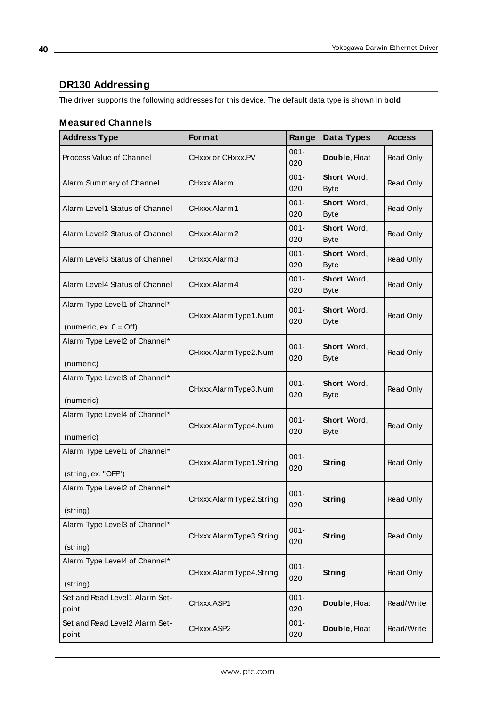# <span id="page-39-0"></span>**DR130 Addressing**

The driver supports the following addresses for this device. The default data type is shown in **bold**.

#### **Measured Channels**

| <b>Address Type</b>                                               | Format                  | Range          | Data Types                  | <b>Access</b> |
|-------------------------------------------------------------------|-------------------------|----------------|-----------------------------|---------------|
| Process Value of Channel                                          | CHxxx or CHxxx.PV       | $001 -$<br>020 | Double, Float               | Read Only     |
| Alarm Summary of Channel                                          | CHxxx.Alarm             | $001 -$<br>020 | Short, Word,<br><b>Byte</b> | Read Only     |
| Alarm Level1 Status of Channel                                    | CHxxx.Alarm1            | $001 -$<br>020 | Short, Word,<br><b>Byte</b> | Read Only     |
| Alarm Level2 Status of Channel                                    | CHxxx.Alarm2            | $001 -$<br>020 | Short, Word,<br><b>Byte</b> | Read Only     |
| Alarm Level3 Status of Channel                                    | CHxxx.Alarm3            | $001 -$<br>020 | Short, Word,<br><b>Byte</b> | Read Only     |
| Alarm Level4 Status of Channel                                    | CHxxx.Alarm4            | $001 -$<br>020 | Short, Word,<br><b>Byte</b> | Read Only     |
| Alarm Type Level1 of Channel*<br>(numeric, ex. $0 = \text{Off}$ ) | CHxxx.AlarmType1.Num    | $001 -$<br>020 | Short, Word,<br><b>Byte</b> | Read Only     |
| Alarm Type Level2 of Channel*<br>(numeric)                        | CHxxx.AlarmType2.Num    | $001 -$<br>020 | Short, Word,<br><b>Byte</b> | Read Only     |
| Alarm Type Level3 of Channel*<br>(numeric)                        | CHxxx.AlarmType3.Num    | $001 -$<br>020 | Short, Word,<br><b>Byte</b> | Read Only     |
| Alarm Type Level4 of Channel*<br>(numeric)                        | CHxxx.AlarmType4.Num    | $001 -$<br>020 | Short, Word,<br><b>Byte</b> | Read Only     |
| Alarm Type Level1 of Channel*<br>(string, ex. "OFF")              | CHxxx.AlarmType1.String | $001 -$<br>020 | String                      | Read Only     |
| Alarm Type Level2 of Channel*<br>(string)                         | CHxxx.AlarmType2.String | $001 -$<br>020 | String                      | Read Only     |
| Alarm Type Level3 of Channel*<br>(string)                         | CHxxx.AlarmType3.String | $001 -$<br>020 | <b>String</b>               | Read Only     |
| Alarm Type Level4 of Channel*<br>(string)                         | CHxxx.AlarmType4.String | $001 -$<br>020 | <b>String</b>               | Read Only     |
| Set and Read Level1 Alarm Set-<br>point                           | CHxxx.ASP1              | $001 -$<br>020 | Double, Float               | Read/Write    |
| Set and Read Level2 Alarm Set-<br>point                           | CHxxx.ASP2              | $001 -$<br>020 | Double, Float               | Read/Write    |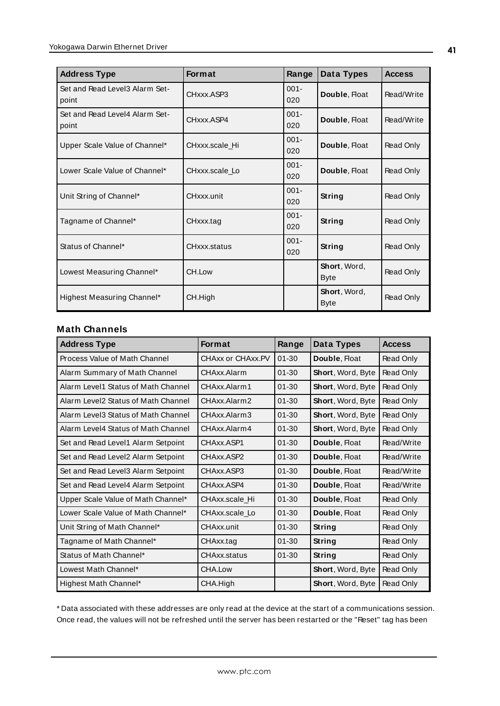| <b>Address Type</b>                     | <b>Format</b>     | Range          | Data Types                  | <b>Access</b> |
|-----------------------------------------|-------------------|----------------|-----------------------------|---------------|
| Set and Read Level3 Alarm Set-<br>point | CHxxx.ASP3        | $001 -$<br>020 | Double, Float               | Read/Write    |
| Set and Read Level4 Alarm Set-<br>point | CHxxx.ASP4        | $001 -$<br>020 | Double, Float               | Read/Write    |
| Upper Scale Value of Channel*           | CHxxx.scale Hi    | $001 -$<br>020 | Double, Float               | Read Only     |
| Lower Scale Value of Channel*           | CHxxx.scale Lo    | $001 -$<br>020 | Double, Float               | Read Only     |
| Unit String of Channel*                 | <b>CHxxx</b> unit | $001 -$<br>020 | String                      | Read Only     |
| Tagname of Channel*                     | CHxxx.tag         | $001 -$<br>020 | String                      | Read Only     |
| Status of Channel*                      | CHxxx.status      | $001 -$<br>020 | String                      | Read Only     |
| Lowest Measuring Channel*               | CH.Low            |                | Short, Word,<br><b>Byte</b> | Read Only     |
| Highest Measuring Channel*              | CH.High           |                | Short, Word,<br><b>Byte</b> | Read Only     |

#### **Math Channels**

| <b>Address Type</b>                 | <b>Format</b>     | Range     | Data Types        | <b>Access</b>    |
|-------------------------------------|-------------------|-----------|-------------------|------------------|
| Process Value of Math Channel       | CHAxx or CHAxx.PV | $01 - 30$ | Double, Float     | Read Only        |
| Alarm Summary of Math Channel       | CHAxx.Alarm       | $01 - 30$ | Short, Word, Byte | Read Only        |
| Alarm Level1 Status of Math Channel | CHAxx.Alarm1      | $01 - 30$ | Short, Word, Byte | Read Only        |
| Alarm Level2 Status of Math Channel | CHAxx.Alarm2      | $01 - 30$ | Short, Word, Byte | Read Only        |
| Alarm Level3 Status of Math Channel | CHAxx.Alarm3      | $01 - 30$ | Short, Word, Byte | Read Only        |
| Alarm Level4 Status of Math Channel | CHAxx.Alarm4      | $01 - 30$ | Short, Word, Byte | Read Only        |
| Set and Read Level1 Alarm Setpoint  | CHAxx ASP1        | $01 - 30$ | Double, Float     | Read/Write       |
| Set and Read Level2 Alarm Setpoint  | CHAxx.ASP2        | $01 - 30$ | Double, Float     | Read/Write       |
| Set and Read Level3 Alarm Setpoint  | CHAxx.ASP3        | $01 - 30$ | Double, Float     | Read/Write       |
| Set and Read Level4 Alarm Setpoint  | CHAxx.ASP4        | $01 - 30$ | Double, Float     | Read/Write       |
| Upper Scale Value of Math Channel*  | CHAxx.scale Hi    | $01 - 30$ | Double, Float     | Read Only        |
| Lower Scale Value of Math Channel*  | CHAxx.scale Lo    | $01 - 30$ | Double, Float     | Read Only        |
| Unit String of Math Channel*        | CHAxx.unit        | $01 - 30$ | String            | Read Only        |
| Tagname of Math Channel*            | CHAxx.tag         | $01 - 30$ | String            | Read Only        |
| Status of Math Channel*             | CHAxx.status      | $01 - 30$ | <b>String</b>     | Read Only        |
| Lowest Math Channel*                | CHA.Low           |           | Short, Word, Byte | Read Only        |
| Highest Math Channel*               | CHA.High          |           | Short, Word, Byte | <b>Read Only</b> |

\* Data associated with these addresses are only read at the device at the start of a communications session. Once read, the values will not be refreshed until the server has been restarted or the "Reset" tag has been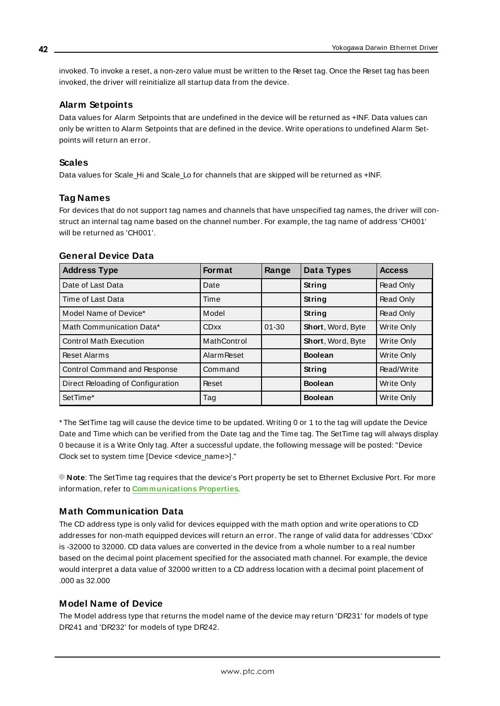invoked. To invoke a reset, a non-zero value must be written to the Reset tag. Once the Reset tag has been invoked, the driver will reinitialize all startup data from the device.

#### **Alarm Setpoints**

Data values for Alarm Setpoints that are undefined in the device will be returned as +INF. Data values can only be written to Alarm Setpoints that are defined in the device. Write operations to undefined Alarm Setpoints will return an error.

#### **Scales**

Data values for Scale\_Hi and Scale\_Lo for channels that are skipped will be returned as +INF.

#### **Tag Names**

For devices that do not support tag names and channels that have unspecified tag names, the driver will construct an internal tag name based on the channel number. For example, the tag name of address 'CH001' will be returned as 'CH001'.

#### **General Device Data**

| <b>Address Type</b>               | <b>Format</b>      | Range     | Data Types        | <b>Access</b> |
|-----------------------------------|--------------------|-----------|-------------------|---------------|
| Date of Last Data                 | Date               |           | String            | Read Only     |
| Time of Last Data                 | Time               |           | String            | Read Only     |
| Model Name of Device*             | Model              |           | String            | Read Only     |
| Math Communication Data*          | <b>CDxx</b>        | $01 - 30$ | Short, Word, Byte | Write Only    |
| <b>Control Math Execution</b>     | MathControl        |           | Short, Word, Byte | Write Only    |
| <b>Reset Alarms</b>               | <b>Alarm Reset</b> |           | <b>Boolean</b>    | Write Only    |
| Control Command and Response      | Command            |           | String            | Read/Write    |
| Direct Reloading of Configuration | Reset              |           | <b>Boolean</b>    | Write Only    |
| SetTime*                          | Tag                |           | <b>Boolean</b>    | Write Only    |

\* The SetTime tag will cause the device time to be updated. Writing 0 or 1 to the tag will update the Device Date and Time which can be verified from the Date tag and the Time tag. The SetTime tag will always display 0 because it is a Write Only tag. After a successful update, the following message will be posted: "Device Clock set to system time [Device <device\_name>]."

**Note**: The SetTime tag requires that the device's Port property be set to Ethernet Exclusive Port. For more information, refer to **[Communications](#page-14-0) Properties**.

#### **Math Communication Data**

The CD address type is only valid for devices equipped with the math option and write operations to CD addresses for non-math equipped devices will return an error. The range of valid data for addresses 'CDxx' is -32000 to 32000. CD data values are converted in the device from a whole number to a real number based on the decimal point placement specified for the associated math channel. For example, the device would interpret a data value of 32000 written to a CD address location with a decimal point placement of .000 as 32.000

#### **Model Name of Device**

The Model address type that returns the model name of the device may return 'DR231' for models of type DR241 and 'DR232' for models of type DR242.

**42**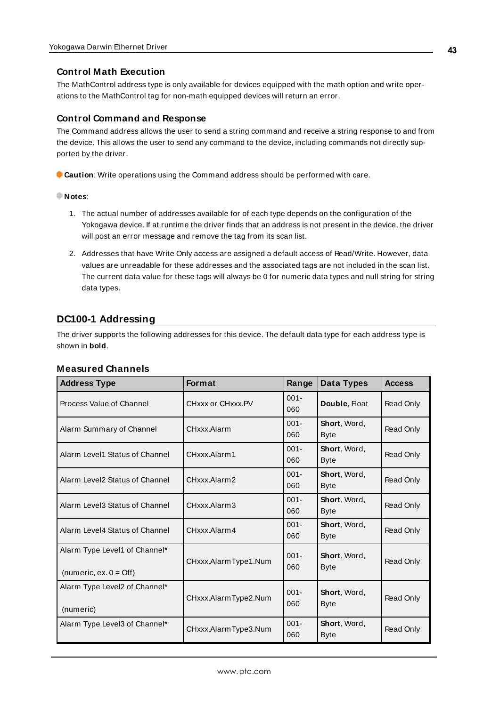#### **Control Math Execution**

The MathControl address type is only available for devices equipped with the math option and write operations to the MathControl tag for non-math equipped devices will return an error.

#### **Control Command and Response**

The Command address allows the user to send a string command and receive a string response to and from the device. This allows the user to send any command to the device, including commands not directly supported by the driver.

**Caution**: Write operations using the Command address should be performed with care.

#### **Notes**:

- 1. The actual number of addresses available for of each type depends on the configuration of the Yokogawa device. If at runtime the driver finds that an address is not present in the device, the driver will post an error message and remove the tag from its scan list.
- 2. Addresses that have Write Only access are assigned a default access of Read/Write. However, data values are unreadable for these addresses and the associated tags are not included in the scan list. The current data value for these tags will always be 0 for numeric data types and null string for string data types.

### <span id="page-42-0"></span>**DC100-1 Addressing**

The driver supports the following addresses for this device. The default data type for each address type is shown in **bold**.

#### **Measured Channels**

| <b>Address Type</b>                                               | <b>Format</b>        | Range          | Data Types                  | <b>Access</b> |
|-------------------------------------------------------------------|----------------------|----------------|-----------------------------|---------------|
| Process Value of Channel                                          | CHxxx or CHxxx PV    | $001 -$<br>060 | Double, Float               | Read Only     |
| Alarm Summary of Channel                                          | CHxxx.Alarm          | $001 -$<br>060 | Short, Word,<br><b>Byte</b> | Read Only     |
| Alarm Level1 Status of Channel                                    | CHxxx Alarm1         | $001 -$<br>060 | Short, Word,<br><b>Byte</b> | Read Only     |
| Alarm Level2 Status of Channel                                    | CHxxx.Alarm2         | $001 -$<br>060 | Short, Word,<br><b>Byte</b> | Read Only     |
| Alarm Level3 Status of Channel                                    | CHxxx.Alarm3         | $001 -$<br>060 | Short, Word,<br><b>Byte</b> | Read Only     |
| Alarm Level4 Status of Channel                                    | CHxxx.Alarm4         | $001 -$<br>060 | Short, Word,<br><b>Byte</b> | Read Only     |
| Alarm Type Level1 of Channel*<br>(numeric, ex. $0 = \text{Off}$ ) | CHxxx.AlarmType1.Num | $001 -$<br>060 | Short, Word,<br><b>Byte</b> | Read Only     |
| Alarm Type Level2 of Channel*<br>(numeric)                        | CHxxx.AlarmType2.Num | $001 -$<br>060 | Short, Word,<br><b>Byte</b> | Read Only     |
| Alarm Type Level3 of Channel*                                     | CHxxx.AlarmType3.Num | $001 -$<br>060 | Short, Word,<br><b>Byte</b> | Read Only     |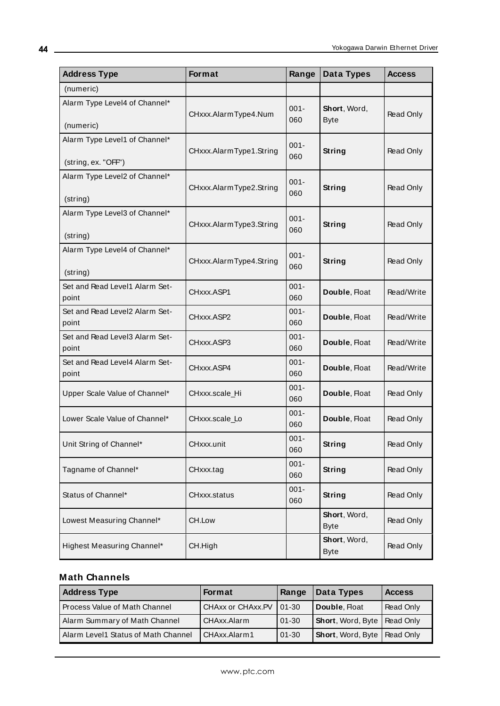| <b>Address Type</b>                                  | Format                  | Range          | Data Types                  | <b>Access</b>    |
|------------------------------------------------------|-------------------------|----------------|-----------------------------|------------------|
| (numeric)                                            |                         |                |                             |                  |
| Alarm Type Level4 of Channel*<br>(numeric)           | CHxxx.AlarmType4.Num    | $001 -$<br>060 | Short, Word,<br><b>Byte</b> | Read Only        |
| Alarm Type Level1 of Channel*<br>(string, ex. "OFF") | CHxxx.AlarmType1.String | $001 -$<br>060 | String                      | Read Only        |
| Alarm Type Level2 of Channel*<br>(string)            | CHxxx.AlarmType2.String | $001 -$<br>060 | String                      | Read Only        |
| Alarm Type Level3 of Channel*<br>(string)            | CHxxx.AlarmType3.String | $001 -$<br>060 | String                      | Read Only        |
| Alarm Type Level4 of Channel*<br>(string)            | CHxxx.AlarmType4.String | $001 -$<br>060 | String                      | Read Only        |
| Set and Read Level1 Alarm Set-<br>point              | CHxxx.ASP1              | $001 -$<br>060 | Double, Float               | Read/Write       |
| Set and Read Level2 Alarm Set-<br>point              | CHxxx.ASP2              | $001 -$<br>060 | Double, Float               | Read/Write       |
| Set and Read Level3 Alarm Set-<br>point              | CHxxx.ASP3              | $001 -$<br>060 | Double, Float               | Read/Write       |
| Set and Read Level4 Alarm Set-<br>point              | CHxxx.ASP4              | $001 -$<br>060 | Double, Float               | Read/Write       |
| Upper Scale Value of Channel*                        | CHxxx.scale_Hi          | $001 -$<br>060 | Double, Float               | Read Only        |
| Lower Scale Value of Channel*                        | CHxxx.scale_Lo          | $001 -$<br>060 | Double, Float               | Read Only        |
| Unit String of Channel*                              | CHxxx.unit              | $001 -$<br>060 | String                      | <b>Read Only</b> |
| Tagname of Channel*                                  | CHxxx.tag               | $001 -$<br>060 | String                      | Read Only        |
| Status of Channel*                                   | CHxxx.status            | $001 -$<br>060 | String                      | Read Only        |
| Lowest Measuring Channel*                            | CH.Low                  |                | Short, Word,<br><b>Byte</b> | Read Only        |
| Highest Measuring Channel*                           | CH.High                 |                | Short, Word,<br><b>Byte</b> | Read Only        |

#### **Math Channels**

| <b>Address Type</b>                 | <b>Format</b>             | Range     | Data Types                           | <b>Access</b> |
|-------------------------------------|---------------------------|-----------|--------------------------------------|---------------|
| Process Value of Math Channel       | CHAxx or CHAxx.PV   01-30 |           | Double, Float                        | Read Only     |
| Alarm Summary of Math Channel       | CHAxx.Alarm               | $01 - 30$ | <b>Short, Word, Byte   Read Only</b> |               |
| Alarm Level1 Status of Math Channel | CHAxx.Alarm1              | $01 - 30$ | <b>Short, Word, Byte   Read Only</b> |               |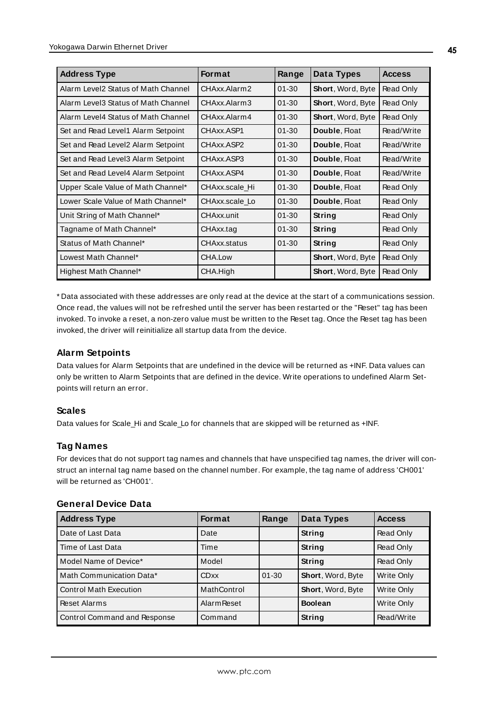| <b>Address Type</b>                 | <b>Format</b>     | Range     | Data Types        | <b>Access</b> |
|-------------------------------------|-------------------|-----------|-------------------|---------------|
| Alarm Level2 Status of Math Channel | CHAxx.Alarm2      | $01 - 30$ | Short, Word, Byte | Read Only     |
| Alarm Level3 Status of Math Channel | CHAxx.Alarm3      | $01 - 30$ | Short, Word, Byte | Read Only     |
| Alarm Level4 Status of Math Channel | CHAxx.Alarm4      | $01 - 30$ | Short, Word, Byte | Read Only     |
| Set and Read Level1 Alarm Setpoint  | CHAxx.ASP1        | $01 - 30$ | Double, Float     | Read/Write    |
| Set and Read Level2 Alarm Setpoint  | CHAxx.ASP2        | $01 - 30$ | Double, Float     | Read/Write    |
| Set and Read Level3 Alarm Setpoint  | CHAxx.ASP3        | $01 - 30$ | Double, Float     | Read/Write    |
| Set and Read Level4 Alarm Setpoint  | CHAxx ASP4        | $01 - 30$ | Double, Float     | Read/Write    |
| Upper Scale Value of Math Channel*  | CHAxx.scale Hi    | $01 - 30$ | Double, Float     | Read Only     |
| Lower Scale Value of Math Channel*  | CHAxx.scale Lo    | $01 - 30$ | Double, Float     | Read Only     |
| Unit String of Math Channel*        | <b>CHAxx</b> unit | $01 - 30$ | String            | Read Only     |
| Tagname of Math Channel*            | CHAxx.tag         | $01 - 30$ | String            | Read Only     |
| Status of Math Channel*             | CHAxx.status      | $01 - 30$ | String            | Read Only     |
| Lowest Math Channel*                | CHA.Low           |           | Short, Word, Byte | Read Only     |
| Highest Math Channel*               | CHA.High          |           | Short, Word, Byte | Read Only     |

\* Data associated with these addresses are only read at the device at the start of a communications session. Once read, the values will not be refreshed until the server has been restarted or the "Reset" tag has been invoked. To invoke a reset, a non-zero value must be written to the Reset tag. Once the Reset tag has been invoked, the driver will reinitialize all startup data from the device.

#### **Alarm Setpoints**

Data values for Alarm Setpoints that are undefined in the device will be returned as +INF. Data values can only be written to Alarm Setpoints that are defined in the device. Write operations to undefined Alarm Setpoints will return an error.

#### **Scales**

Data values for Scale\_Hi and Scale\_Lo for channels that are skipped will be returned as +INF.

#### **Tag Names**

For devices that do not support tag names and channels that have unspecified tag names, the driver will construct an internal tag name based on the channel number. For example, the tag name of address 'CH001' will be returned as 'CH001'.

| <b>Address Type</b>           | <b>Format</b>      | Range     | Data Types               | <b>Access</b>     |
|-------------------------------|--------------------|-----------|--------------------------|-------------------|
| Date of Last Data             | Date               |           | String                   | Read Only         |
| Time of Last Data             | Time               |           | String                   | Read Only         |
| Model Name of Device*         | Model              |           | String                   | Read Only         |
| Math Communication Data*      | <b>CDxx</b>        | $01 - 30$ | Short, Word, Byte        | Write Only        |
| <b>Control Math Execution</b> | MathControl        |           | <b>Short, Word, Byte</b> | <b>Write Only</b> |
| <b>Reset Alarms</b>           | <b>Alarm Reset</b> |           | <b>Boolean</b>           | Write Only        |
| Control Command and Response  | Command            |           | String                   | Read/Write        |

#### **General Device Data**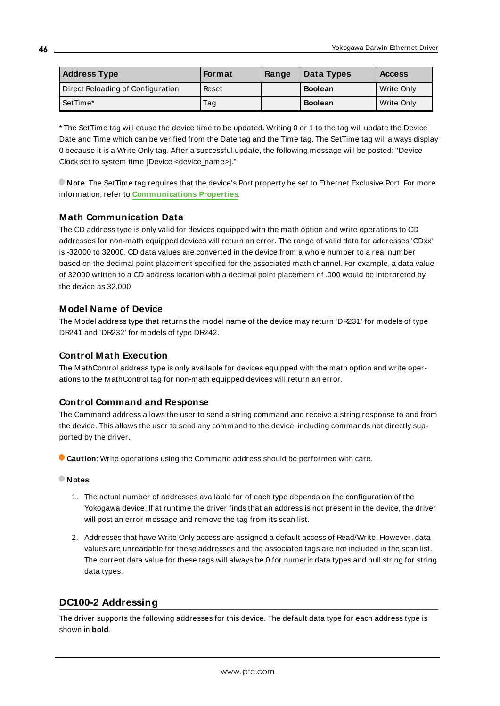| <b>Address Type</b>               | Format | Range | Data Types     | <b>Access</b> |
|-----------------------------------|--------|-------|----------------|---------------|
| Direct Reloading of Configuration | Reset  |       | <b>Boolean</b> | Write Only    |
| l SetTime*                        | Tag    |       | <b>Boolean</b> | Write Only    |

\* The SetTime tag will cause the device time to be updated. Writing 0 or 1 to the tag will update the Device Date and Time which can be verified from the Date tag and the Time tag. The SetTime tag will always display 0 because it is a Write Only tag. After a successful update, the following message will be posted: "Device Clock set to system time [Device <device\_name>]."

**Note**: The SetTime tag requires that the device's Port property be set to Ethernet Exclusive Port. For more information, refer to **[Communications](#page-14-0) Properties**.

#### **Math Communication Data**

The CD address type is only valid for devices equipped with the math option and write operations to CD addresses for non-math equipped devices will return an error. The range of valid data for addresses 'CDxx' is -32000 to 32000. CD data values are converted in the device from a whole number to a real number based on the decimal point placement specified for the associated math channel. For example, a data value of 32000 written to a CD address location with a decimal point placement of .000 would be interpreted by the device as 32.000

#### **Model Name of Device**

The Model address type that returns the model name of the device may return 'DR231' for models of type DR241 and 'DR232' for models of type DR242.

#### **Control Math Execution**

The MathControl address type is only available for devices equipped with the math option and write operations to the MathControl tag for non-math equipped devices will return an error.

#### **Control Command and Response**

The Command address allows the user to send a string command and receive a string response to and from the device. This allows the user to send any command to the device, including commands not directly supported by the driver.

**Caution**: Write operations using the Command address should be performed with care.

#### **Notes**:

- 1. The actual number of addresses available for of each type depends on the configuration of the Yokogawa device. If at runtime the driver finds that an address is not present in the device, the driver will post an error message and remove the tag from its scan list.
- 2. Addresses that have Write Only access are assigned a default access of Read/Write. However, data values are unreadable for these addresses and the associated tags are not included in the scan list. The current data value for these tags will always be 0 for numeric data types and null string for string data types.

#### <span id="page-45-0"></span>**DC100-2 Addressing**

The driver supports the following addresses for this device. The default data type for each address type is shown in **bold**.

**46**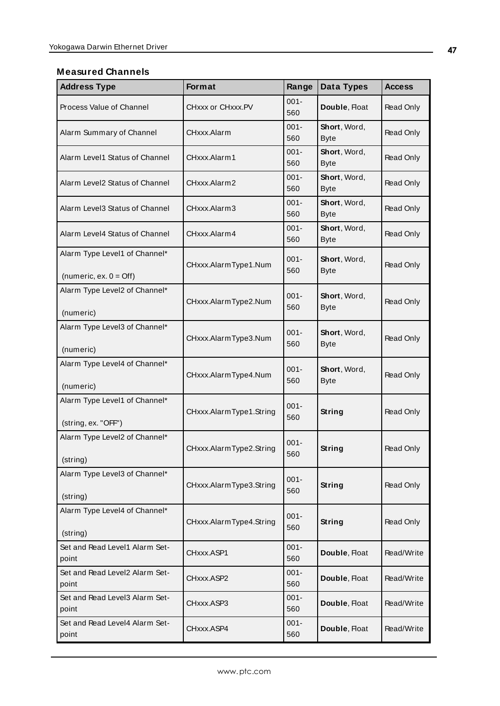#### **Measured Channels**

| <b>Address Type</b>                                               | Format                  | Range          | Data Types                  | <b>Access</b> |
|-------------------------------------------------------------------|-------------------------|----------------|-----------------------------|---------------|
| Process Value of Channel                                          | CHxxx or CHxxx.PV       | $001 -$<br>560 | Double, Float               | Read Only     |
| Alarm Summary of Channel                                          | CHxxx.Alarm             | $001 -$<br>560 | Short, Word,<br><b>Byte</b> | Read Only     |
| Alarm Level1 Status of Channel                                    | CHxxx.Alarm1            | $001 -$<br>560 | Short, Word,<br><b>Byte</b> | Read Only     |
| Alarm Level2 Status of Channel                                    | CHxxx.Alarm2            | $001 -$<br>560 | Short, Word,<br><b>Byte</b> | Read Only     |
| Alarm Level3 Status of Channel                                    | CHxxx.Alarm3            | $001 -$<br>560 | Short, Word,<br><b>Byte</b> | Read Only     |
| Alarm Level4 Status of Channel                                    | CHxxx.Alarm4            | $001 -$<br>560 | Short, Word,<br><b>Byte</b> | Read Only     |
| Alarm Type Level1 of Channel*<br>(numeric, ex. $0 = \text{Off}$ ) | CHxxx.AlarmType1.Num    | $001 -$<br>560 | Short, Word,<br><b>Byte</b> | Read Only     |
| Alarm Type Level2 of Channel*<br>(numeric)                        | CHxxx.AlarmType2.Num    | $001 -$<br>560 | Short, Word,<br><b>Byte</b> | Read Only     |
| Alarm Type Level3 of Channel*<br>(numeric)                        | CHxxx.AlarmType3.Num    | $001 -$<br>560 | Short, Word,<br><b>Byte</b> | Read Only     |
| Alarm Type Level4 of Channel*<br>(numeric)                        | CHxxx.AlarmType4.Num    | $001 -$<br>560 | Short, Word,<br><b>Byte</b> | Read Only     |
| Alarm Type Level1 of Channel*<br>(string, ex. "OFF")              | CHxxx.AlarmType1.String | $001 -$<br>560 | String                      | Read Only     |
| Alarm Type Level2 of Channel*<br>(string)                         | CHxxx.AlarmType2.String | 001-<br>560    | String                      | Read Only     |
| Alarm Type Level3 of Channel*<br>(string)                         | CHxxx.AlarmType3.String | $001 -$<br>560 | <b>String</b>               | Read Only     |
| Alarm Type Level4 of Channel*<br>(string)                         | CHxxx.AlarmType4.String | $001 -$<br>560 | <b>String</b>               | Read Only     |
| Set and Read Level1 Alarm Set-<br>point                           | CHxxx.ASP1              | $001 -$<br>560 | Double, Float               | Read/Write    |
| Set and Read Level2 Alarm Set-<br>point                           | CHxxx.ASP2              | $001 -$<br>560 | Double, Float               | Read/Write    |
| Set and Read Level3 Alarm Set-<br>point                           | CHxxx.ASP3              | $001 -$<br>560 | Double, Float               | Read/Write    |
| Set and Read Level4 Alarm Set-<br>point                           | CHxxx.ASP4              | $001 -$<br>560 | Double, Float               | Read/Write    |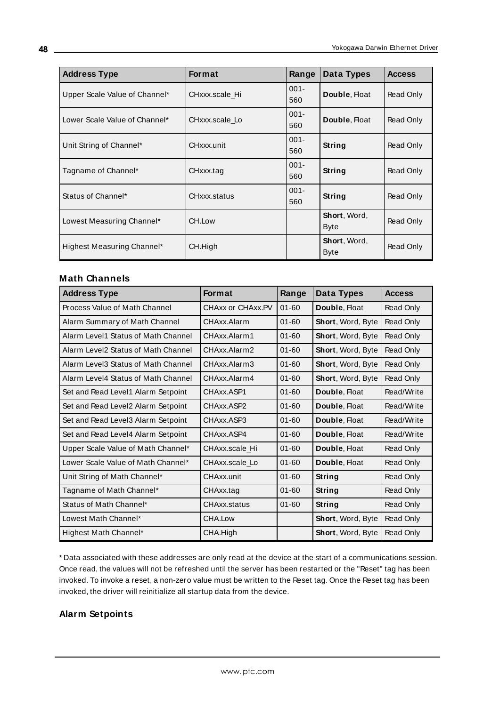| <b>Address Type</b>           | <b>Format</b>  | Range          | Data Types                          | <b>Access</b> |
|-------------------------------|----------------|----------------|-------------------------------------|---------------|
| Upper Scale Value of Channel* | CHxxx.scale Hi | $001 -$<br>560 | Double, Float                       | Read Only     |
| Lower Scale Value of Channel* | CHxxx.scale Lo | $001 -$<br>560 | Double, Float                       | Read Only     |
| Unit String of Channel*       | CHxxx.unit     | $001 -$<br>560 | <b>String</b>                       | Read Only     |
| Tagname of Channel*           | CHxxx.tag      | $001 -$<br>560 | String                              | Read Only     |
| Status of Channel*            | CHxxx.status   | $001 -$<br>560 | String                              | Read Only     |
| Lowest Measuring Channel*     | CH.Low         |                | <b>Short</b> , Word,<br><b>Byte</b> | Read Only     |
| Highest Measuring Channel*    | CH.High        |                | Short, Word,<br><b>Byte</b>         | Read Only     |

#### **Math Channels**

| <b>Address Type</b>                 | <b>Format</b>     | Range     | <b>Data Types</b> | <b>Access</b> |
|-------------------------------------|-------------------|-----------|-------------------|---------------|
| Process Value of Math Channel       | CHAxx or CHAxx.PV | $01 - 60$ | Double, Float     | Read Only     |
| Alarm Summary of Math Channel       | CHAxx.Alarm       | $01 - 60$ | Short, Word, Byte | Read Only     |
| Alarm Level1 Status of Math Channel | CHAxx.Alarm1      | $01 - 60$ | Short, Word, Byte | Read Only     |
| Alarm Level2 Status of Math Channel | CHAxx.Alarm2      | $01 - 60$ | Short, Word, Byte | Read Only     |
| Alarm Level3 Status of Math Channel | CHAxx.Alarm3      | $01 - 60$ | Short, Word, Byte | Read Only     |
| Alarm Level4 Status of Math Channel | CHAxx.Alarm4      | $01 - 60$ | Short, Word, Byte | Read Only     |
| Set and Read Level1 Alarm Setpoint  | CHAxx.ASP1        | $01 - 60$ | Double, Float     | Read/Write    |
| Set and Read Level2 Alarm Setpoint  | CHAxx.ASP2        | $01 - 60$ | Double, Float     | Read/Write    |
| Set and Read Level3 Alarm Setpoint  | CHAxx.ASP3        | $01 - 60$ | Double, Float     | Read/Write    |
| Set and Read Level4 Alarm Setpoint  | CHAxx.ASP4        | $01 - 60$ | Double, Float     | Read/Write    |
| Upper Scale Value of Math Channel*  | CHAxx.scale Hi    | $01 - 60$ | Double, Float     | Read Only     |
| Lower Scale Value of Math Channel*  | CHAxx.scale Lo    | $01 - 60$ | Double, Float     | Read Only     |
| Unit String of Math Channel*        | <b>CHAxx</b> unit | $01 - 60$ | String            | Read Only     |
| Tagname of Math Channel*            | CHAxx.tag         | $01 - 60$ | <b>String</b>     | Read Only     |
| Status of Math Channel*             | CHAxx.status      | $01 - 60$ | String            | Read Only     |
| Lowest Math Channel*                | CHA.Low           |           | Short, Word, Byte | Read Only     |
| Highest Math Channel*               | CHA.High          |           | Short, Word, Byte | Read Only     |

\* Data associated with these addresses are only read at the device at the start of a communications session. Once read, the values will not be refreshed until the server has been restarted or the "Reset" tag has been invoked. To invoke a reset, a non-zero value must be written to the Reset tag. Once the Reset tag has been invoked, the driver will reinitialize all startup data from the device.

#### **Alarm Setpoints**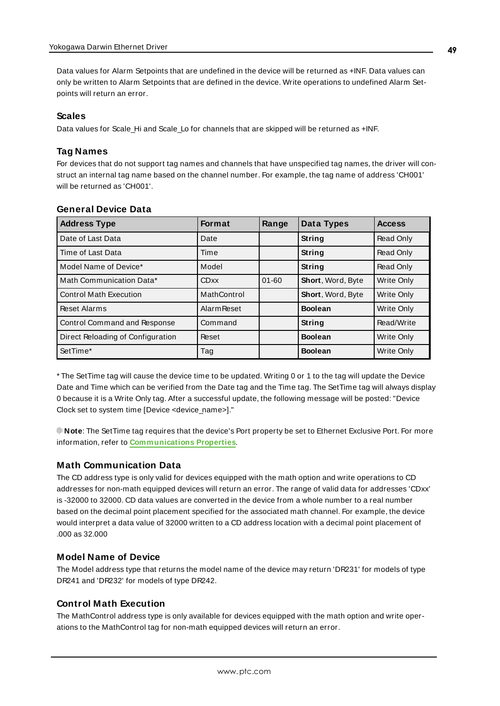Data values for Alarm Setpoints that are undefined in the device will be returned as +INF. Data values can only be written to Alarm Setpoints that are defined in the device. Write operations to undefined Alarm Setpoints will return an error.

#### **Scales**

Data values for Scale\_Hi and Scale\_Lo for channels that are skipped will be returned as +INF.

#### **Tag Names**

For devices that do not support tag names and channels that have unspecified tag names, the driver will construct an internal tag name based on the channel number. For example, the tag name of address 'CH001' will be returned as 'CH001'.

| <b>Address Type</b>                 | <b>Format</b>      | Range     | Data Types        | <b>Access</b>     |
|-------------------------------------|--------------------|-----------|-------------------|-------------------|
| Date of Last Data                   | Date               |           | String            | Read Only         |
| Time of Last Data                   | Time               |           | <b>String</b>     | Read Only         |
| Model Name of Device*               | Model              |           | String            | Read Only         |
| Math Communication Data*            | <b>CDxx</b>        | $01 - 60$ | Short, Word, Byte | Write Only        |
| <b>Control Math Execution</b>       | MathControl        |           | Short, Word, Byte | <b>Write Only</b> |
| Reset Alarms                        | <b>Alarm Reset</b> |           | <b>Boolean</b>    | <b>Write Only</b> |
| <b>Control Command and Response</b> | Command            |           | String            | Read/Write        |
| Direct Reloading of Configuration   | Reset              |           | <b>Boolean</b>    | <b>Write Only</b> |
| SetTime*                            | Tag                |           | <b>Boolean</b>    | <b>Write Only</b> |

#### **General Device Data**

\* The SetTime tag will cause the device time to be updated. Writing 0 or 1 to the tag will update the Device Date and Time which can be verified from the Date tag and the Time tag. The SetTime tag will always display 0 because it is a Write Only tag. After a successful update, the following message will be posted: "Device Clock set to system time [Device <device\_name>]."

**Note**: The SetTime tag requires that the device's Port property be set to Ethernet Exclusive Port. For more information, refer to **[Communications](#page-14-0) Properties**.

#### **Math Communication Data**

The CD address type is only valid for devices equipped with the math option and write operations to CD addresses for non-math equipped devices will return an error. The range of valid data for addresses 'CDxx' is -32000 to 32000. CD data values are converted in the device from a whole number to a real number based on the decimal point placement specified for the associated math channel. For example, the device would interpret a data value of 32000 written to a CD address location with a decimal point placement of .000 as 32.000

#### **Model Name of Device**

The Model address type that returns the model name of the device may return 'DR231' for models of type DR241 and 'DR232' for models of type DR242.

#### **Control Math Execution**

The MathControl address type is only available for devices equipped with the math option and write operations to the MathControl tag for non-math equipped devices will return an error.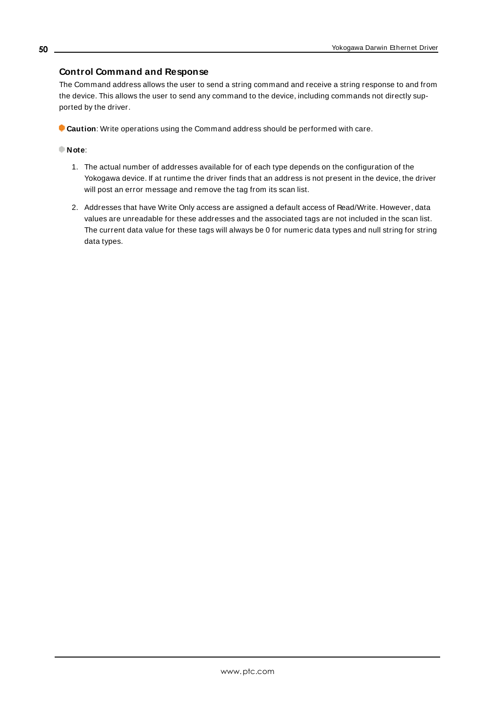#### **Control Command and Response**

The Command address allows the user to send a string command and receive a string response to and from the device. This allows the user to send any command to the device, including commands not directly supported by the driver.

**Caution**: Write operations using the Command address should be performed with care.

#### **Note**:

- 1. The actual number of addresses available for of each type depends on the configuration of the Yokogawa device. If at runtime the driver finds that an address is not present in the device, the driver will post an error message and remove the tag from its scan list.
- 2. Addresses that have Write Only access are assigned a default access of Read/Write. However, data values are unreadable for these addresses and the associated tags are not included in the scan list. The current data value for these tags will always be 0 for numeric data types and null string for string data types.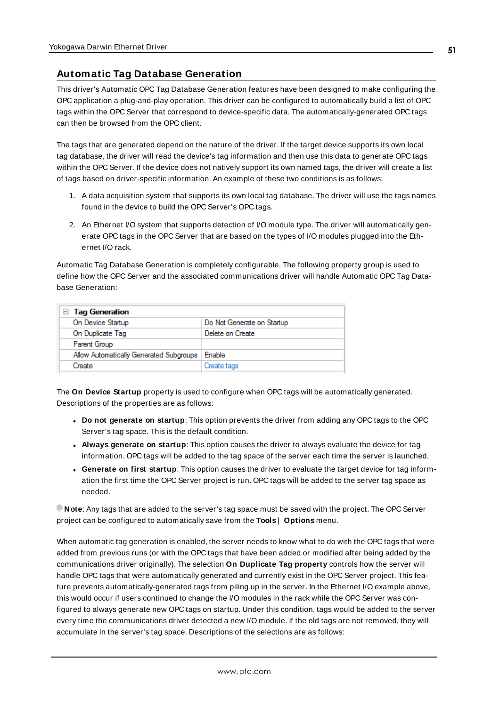#### <span id="page-50-0"></span>**Automatic Tag Database Generation**

This driver's Automatic OPC Tag Database Generation features have been designed to make configuring the OPC application a plug-and-play operation. This driver can be configured to automatically build a list of OPC tags within the OPC Server that correspond to device-specific data. The automatically-generated OPC tags can then be browsed from the OPC client.

The tags that are generated depend on the nature of the driver. If the target device supports its own local tag database, the driver will read the device's tag information and then use this data to generate OPC tags within the OPC Server. If the device does not natively support its own named tags, the driver will create a list of tags based on driver-specific information. An example of these two conditions is as follows:

- 1. A data acquisition system that supports its own local tag database. The driver will use the tags names found in the device to build the OPC Server's OPC tags.
- 2. An Ethernet I/O system that supports detection of I/O module type. The driver will automatically generate OPC tags in the OPC Server that are based on the types of I/O modules plugged into the Ethernet I/O rack.

Automatic Tag Database Generation is completely configurable. The following property group is used to define how the OPC Server and the associated communications driver will handle Automatic OPC Tag Database Generation:

| $\Box$ Tag Generation                   |                            |  |  |
|-----------------------------------------|----------------------------|--|--|
| On Device Startup                       | Do Not Generate on Startup |  |  |
| On Duplicate Tag                        | Delete on Create           |  |  |
| Parent Group                            |                            |  |  |
| Allow Automatically Generated Subgroups | Enable                     |  |  |
| Create                                  | Create tags                |  |  |

The **On Device Startup** property is used to configure when OPC tags will be automatically generated. Descriptions of the properties are as follows:

- <sup>l</sup> **Do not generate on startup**: This option prevents the driver from adding any OPC tags to the OPC Server's tag space. This is the default condition.
- <sup>l</sup> **Always generate on startup**: This option causes the driver to always evaluate the device for tag information. OPC tags will be added to the tag space of the server each time the server is launched.
- <sup>l</sup> **Generate on first startup**: This option causes the driver to evaluate the target device for tag information the first time the OPC Server project is run. OPC tags will be added to the server tag space as needed.

**Note**: Any tags that are added to the server's tag space must be saved with the project. The OPC Server project can be configured to automatically save from the **Tools** | **Options** menu.

When automatic tag generation is enabled, the server needs to know what to do with the OPC tags that were added from previous runs (or with the OPC tags that have been added or modified after being added by the communications driver originally). The selection **On Duplicate Tag property** controls how the server will handle OPC tags that were automatically generated and currently exist in the OPC Server project. This feature prevents automatically-generated tags from piling up in the server. In the Ethernet I/O example above, this would occur if users continued to change the I/O modules in the rack while the OPC Server was configured to always generate new OPC tags on startup. Under this condition, tags would be added to the server every time the communications driver detected a new I/O module. If the old tags are not removed, they will accumulate in the server's tag space. Descriptions of the selections are as follows: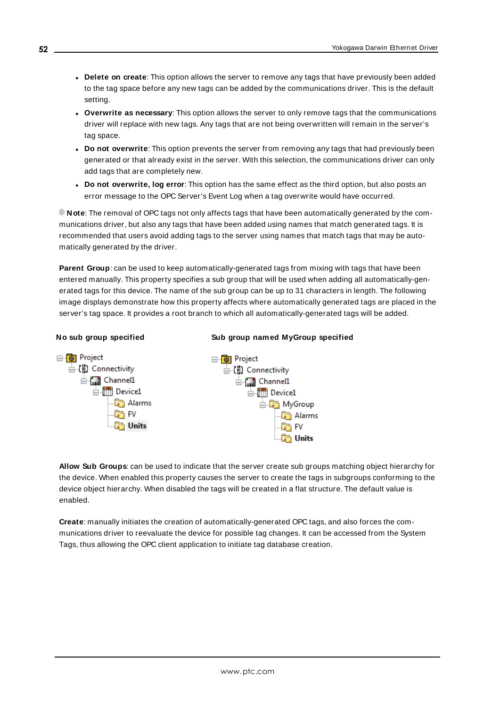- <sup>l</sup> **Delete on create**: This option allows the server to remove any tags that have previously been added to the tag space before any new tags can be added by the communications driver. This is the default setting.
- <sup>l</sup> **Overwrite as necessary**: This option allows the server to only remove tags that the communications driver will replace with new tags. Any tags that are not being overwritten will remain in the server's tag space.
- **Do not overwrite**: This option prevents the server from removing any tags that had previously been generated or that already exist in the server. With this selection, the communications driver can only add tags that are completely new.
- <sup>l</sup> **Do not overwrite, log error**: This option has the same effect as the third option, but also posts an error message to the OPC Server's Event Log when a tag overwrite would have occurred.

**Note**: The removal of OPC tags not only affects tags that have been automatically generated by the communications driver, but also any tags that have been added using names that match generated tags. It is recommended that users avoid adding tags to the server using names that match tags that may be automatically generated by the driver.

**Parent Group**: can be used to keep automatically-generated tags from mixing with tags that have been entered manually. This property specifies a sub group that will be used when adding all automatically-generated tags for this device. The name of the sub group can be up to 31 characters in length. The following image displays demonstrate how this property affects where automatically generated tags are placed in the server's tag space. It provides a root branch to which all automatically-generated tags will be added.

#### **No sub group specified Sub group named MyGroup specified**



**Allow Sub Groups**: can be used to indicate that the server create sub groups matching object hierarchy for the device. When enabled this property causes the server to create the tags in subgroups conforming to the device object hierarchy. When disabled the tags will be created in a flat structure. The default value is enabled.

**Create**: manually initiates the creation of automatically-generated OPC tags, and also forces the communications driver to reevaluate the device for possible tag changes. It can be accessed from the System Tags, thus allowing the OPC client application to initiate tag database creation.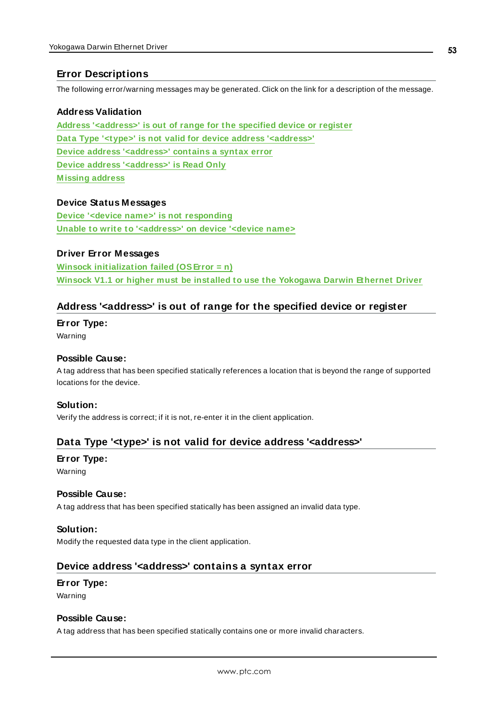### <span id="page-52-0"></span>**Error Descriptions**

The following error/warning messages may be generated. Click on the link for a description of the message.

#### **Address Validation**

**Address ['<address>'](#page-52-1) is out of range for the specified device or register Data Type '<type>' is not valid for device address ['<address>'](#page-52-2) Device address ['<address>'](#page-52-3) contains a syntax error Device address ['<address>'](#page-53-0) is Read Only [M issing](#page-53-1) address**

#### **Device Status Messages**

**Device '<device name>' is not [responding](#page-53-2) Unable to write to ['<address>'](#page-54-0) on device '<device name>**

#### **Driver Error Messages**

**Winsock [initialization](#page-54-1) failed (OSError = n) Winsock V1.1 or higher must be installed to use the [Yokogawa](#page-54-2) Darwin Ethernet Driver**

#### <span id="page-52-1"></span>**Address '<address>' is out of range for the specified device or register**

**Error Type:**

Warning

#### **Possible Cause:**

A tag address that has been specified statically references a location that is beyond the range of supported locations for the device.

#### **Solution:**

<span id="page-52-2"></span>Verify the address is correct; if it is not, re-enter it in the client application.

### **Data Type '<type>' is not valid for device address '<address>'**

# **Error Type:**

Warning

#### **Possible Cause:**

A tag address that has been specified statically has been assigned an invalid data type.

#### **Solution:**

<span id="page-52-3"></span>Modify the requested data type in the client application.

#### **Device address '<address>' contains a syntax error**

#### **Error Type:**

Warning

#### **Possible Cause:**

A tag address that has been specified statically contains one or more invalid characters.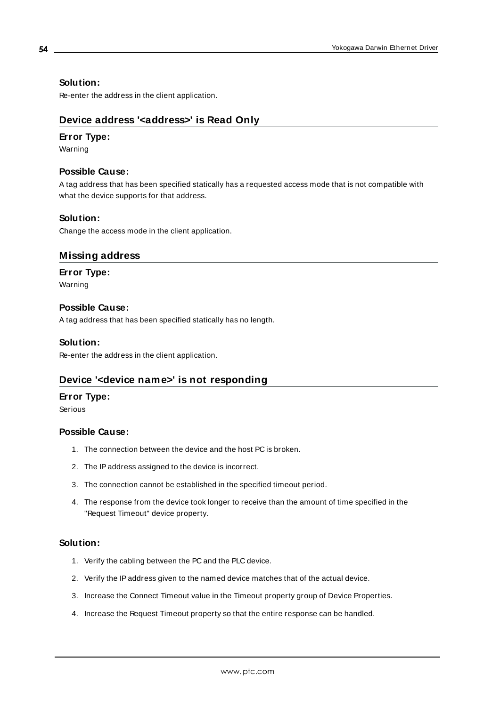#### **Solution:**

<span id="page-53-0"></span>Re-enter the address in the client application.

#### **Device address '<address>' is Read Only**

#### **Error Type:**

Warning

#### **Possible Cause:**

A tag address that has been specified statically has a requested access mode that is not compatible with what the device supports for that address.

#### **Solution:**

<span id="page-53-1"></span>Change the access mode in the client application.

#### **Missing address**

#### **Error Type:**

Warning

#### **Possible Cause:**

A tag address that has been specified statically has no length.

#### **Solution:**

<span id="page-53-2"></span>Re-enter the address in the client application.

#### **Device '<device name>' is not responding**

#### **Error Type:**

Serious

#### **Possible Cause:**

- 1. The connection between the device and the host PC is broken.
- 2. The IPaddress assigned to the device is incorrect.
- 3. The connection cannot be established in the specified timeout period.
- 4. The response from the device took longer to receive than the amount of time specified in the "Request Timeout" device property.

#### **Solution:**

- 1. Verify the cabling between the PC and the PLC device.
- 2. Verify the IPaddress given to the named device matches that of the actual device.
- 3. Increase the Connect Timeout value in the Timeout property group of Device Properties.
- 4. Increase the Request Timeout property so that the entire response can be handled.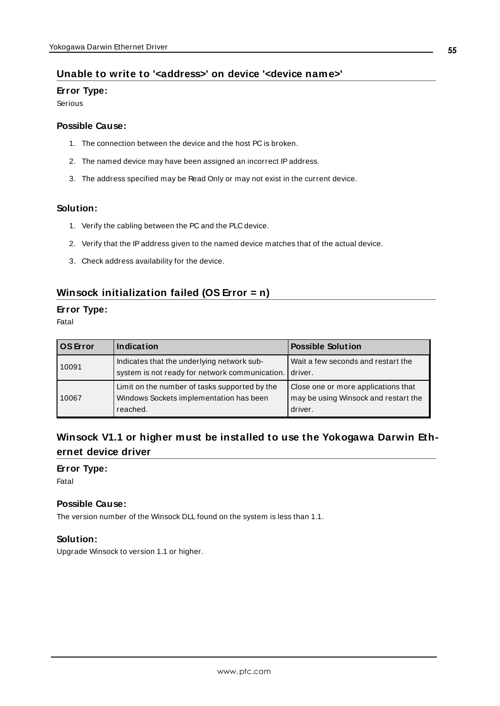#### <span id="page-54-0"></span>**Unable to write to '<address>' on device '<device name>'**

#### **Error Type:**

Serious

#### **Possible Cause:**

- 1. The connection between the device and the host PC is broken.
- 2. The named device may have been assigned an incorrect IPaddress.
- 3. The address specified may be Read Only or may not exist in the current device.

#### **Solution:**

- 1. Verify the cabling between the PC and the PLC device.
- 2. Verify that the IPaddress given to the named device matches that of the actual device.
- 3. Check address availability for the device.

#### <span id="page-54-1"></span>**Winsock initialization failed (OS Error = n)**

#### **Error Type:**

Fatal

| <b>OS</b> Error | Indication                                                                                           | <b>Possible Solution</b>                                                               |
|-----------------|------------------------------------------------------------------------------------------------------|----------------------------------------------------------------------------------------|
| 10091           | Indicates that the underlying network sub-<br>system is not ready for network communication.         | Wait a few seconds and restart the<br>driver.                                          |
| l 10067         | Limit on the number of tasks supported by the<br>Windows Sockets implementation has been<br>reached. | Close one or more applications that<br>may be using Winsock and restart the<br>driver. |

# <span id="page-54-2"></span>**Winsock V1.1 or higher must be installed to use the Yokogawa Darwin Ethernet device driver**

#### **Error Type:**

Fatal

#### **Possible Cause:**

The version number of the Winsock DLL found on the system is less than 1.1.

#### **Solution:**

Upgrade Winsock to version 1.1 or higher.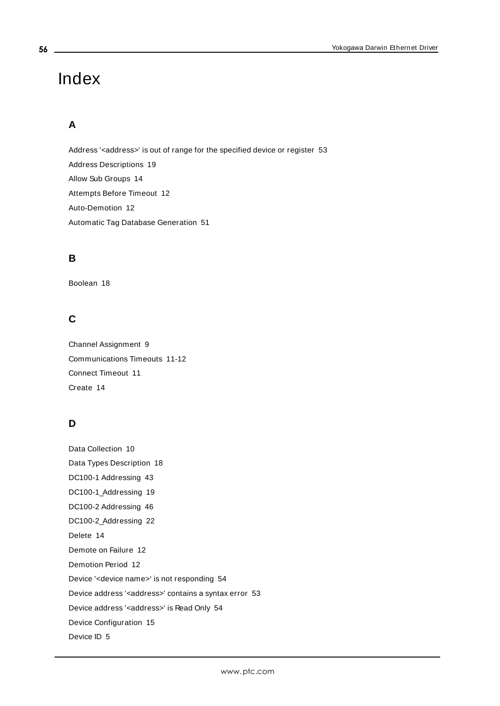# <span id="page-55-0"></span>Index

# **A**

Address '<address>' is out of range for the specified device or register [53](#page-52-1) Address Descriptions [19](#page-18-0) Allow Sub Groups [14](#page-13-0) Attempts Before Timeout [12](#page-11-1) Auto-Demotion [12](#page-11-0) Automatic Tag Database Generation [51](#page-50-0)

# **B**

Boolean [18](#page-17-1)

# **C**

Channel Assignment [9](#page-8-1) Communications Timeouts [11-12](#page-10-1) Connect Timeout [11](#page-10-2) Create [14](#page-13-1)

# **D**

Data Collection [10](#page-9-2) Data Types Description [18](#page-17-0) DC100-1 Addressing [43](#page-42-0) DC100-1\_Addressing [19](#page-18-1) DC100-2 Addressing [46](#page-45-0) DC100-2\_Addressing [22](#page-21-0) Delete [14](#page-13-2) Demote on Failure [12](#page-11-2) Demotion Period [12](#page-11-3) Device '<device name>' is not responding [54](#page-53-2) Device address '< address>' contains a syntax error [53](#page-52-3) Device address '<address>' is Read Only [54](#page-53-0) Device Configuration [15](#page-14-0) Device ID [5](#page-4-1)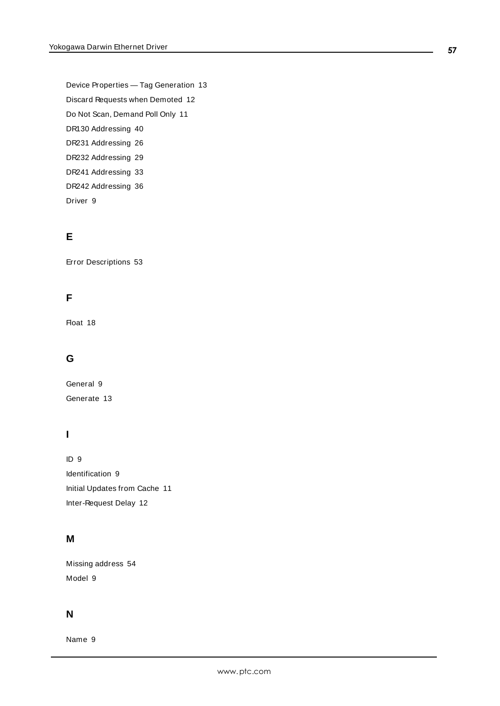Device Properties — Tag Generation [13](#page-12-0) Discard Requests when Demoted [12](#page-11-4) Do Not Scan, Demand Poll Only [11](#page-10-3) DR130 Addressing [40](#page-39-0) DR231 Addressing [26](#page-25-0) DR232 Addressing [29](#page-28-0) DR241 Addressing [33](#page-32-0) DR242 Addressing [36](#page-35-0) Driver [9](#page-8-2)

# **E**

Error Descriptions [53](#page-52-0)

# **F**

Float [18](#page-17-2)

# **G**

General [9](#page-8-0) Generate [13](#page-12-1)

# **I**

ID [9](#page-8-3) Identification [9](#page-8-0) Initial Updates from Cache [11](#page-10-4) Inter-Request Delay [12](#page-11-5)

# **M**

Missing address [54](#page-53-1) Model [9](#page-8-4)

# **N**

Name [9](#page-8-5)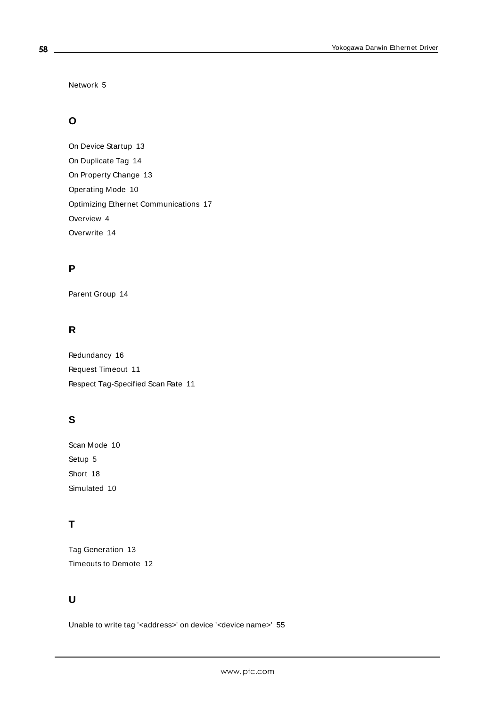Network [5](#page-4-2)

# **O**

On Device Startup [13](#page-12-2) On Duplicate Tag [14](#page-13-3) On Property Change [13](#page-12-3) Operating Mode [10](#page-9-0) Optimizing Ethernet Communications [17](#page-16-0) Overview [4](#page-3-1) Overwrite [14](#page-13-4)

#### **P**

Parent Group [14](#page-13-5)

# **R**

Redundancy [16](#page-15-0) Request Timeout [11](#page-10-5) Respect Tag-Specified Scan Rate [11](#page-10-6)

# **S**

Scan Mode [10](#page-9-3) Setup [5](#page-4-0) Short [18](#page-17-3) Simulated [10](#page-9-4)

# **T**

Tag Generation [13](#page-12-0) Timeouts to Demote [12](#page-11-6)

# **U**

Unable to write tag '<address>' on device '<device name>' [55](#page-54-0)